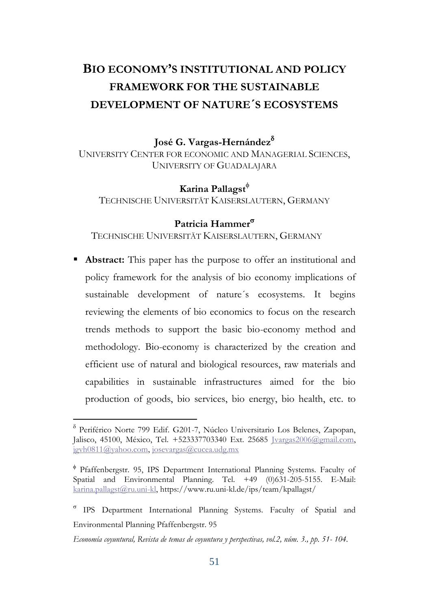# **BIO ECONOMY'S INSTITUTIONAL AND POLICY FRAMEWORK FOR THE SUSTAINABLE DEVELOPMENT OF NATURE´S ECOSYSTEMS**

**José G. Vargas-Hernández**

UNIVERSITY CENTER FOR ECONOMIC AND MANAGERIAL SCIENCES, UNIVERSITY OF GUADALAJARA

**Karina Pallagst**

TECHNISCHE UNIVERSITÄT KAISERSLAUTERN, GERMANY

## **Patricia Hammer**

TECHNISCHE UNIVERSITÄT KAISERSLAUTERN, GERMANY

 **Abstract:** This paper has the purpose to offer an institutional and policy framework for the analysis of bio economy implications of sustainable development of nature´s ecosystems. It begins reviewing the elements of bio economics to focus on the research trends methods to support the basic bio-economy method and methodology. Bio-economy is characterized by the creation and efficient use of natural and biological resources, raw materials and capabilities in sustainable infrastructures aimed for the bio production of goods, bio services, bio energy, bio health, etc. to

 $\overline{a}$ 

Periférico Norte 799 Edif. G201-7, Núcleo Universitario Los Belenes, Zapopan, Jalisco, 45100, México, Tel. +523337703340 Ext. 25685 Jvargas2006@gmail.com, [jgvh0811@yahoo.com,](mailto:jgvh0811@yahoo.com) [josevargas@cucea.udg.mx](mailto:josevargas@cucea.udg.mx)

Pfaffenbergstr. 95, IPS Department International Planning Systems. Faculty of Spatial and Environmental Planning. Tel. +49 (0)631-205-5155. E-Mail: [karina.pallagst@ru.uni-kl,](mailto:karina.pallagst@ru.uni-kl)<https://www.ru.uni-kl.de/ips/team/kpallagst/>

IPS Department International Planning Systems. Faculty of Spatial and Environmental Planning Pfaffenbergstr. 95

*Economía coyuntural, Revista de temas de coyuntura y perspectivas, vol.2, núm. 3., pp. 51- 104.*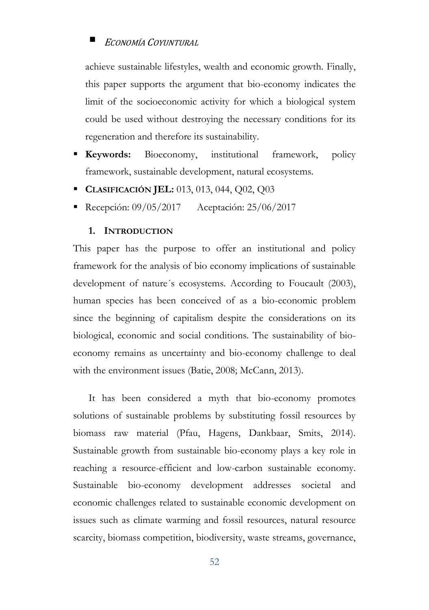achieve sustainable lifestyles, wealth and economic growth. Finally, this paper supports the argument that bio-economy indicates the limit of the socioeconomic activity for which a biological system could be used without destroying the necessary conditions for its regeneration and therefore its sustainability.

- **Keywords:** Bioeconomy, institutional framework, policy framework, sustainable development, natural ecosystems.
- **CLASIFICACIÓN JEL:** 013, 013, 044, Q02, Q03
- Recepción: 09/05/2017 Aceptación: 25/06/2017

#### **1. INTRODUCTION**

This paper has the purpose to offer an institutional and policy framework for the analysis of bio economy implications of sustainable development of nature´s ecosystems. According to Foucault (2003), human species has been conceived of as a bio-economic problem since the beginning of capitalism despite the considerations on its biological, economic and social conditions. The sustainability of bioeconomy remains as uncertainty and bio-economy challenge to deal with the environment issues (Batie, 2008; McCann, 2013).

It has been considered a myth that bio-economy promotes solutions of sustainable problems by substituting fossil resources by biomass raw material (Pfau, Hagens, Dankbaar, Smits, 2014). Sustainable growth from sustainable bio-economy plays a key role in reaching a resource-efficient and low-carbon sustainable economy. Sustainable bio-economy development addresses societal and economic challenges related to sustainable economic development on issues such as climate warming and fossil resources, natural resource scarcity, biomass competition, biodiversity, waste streams, governance,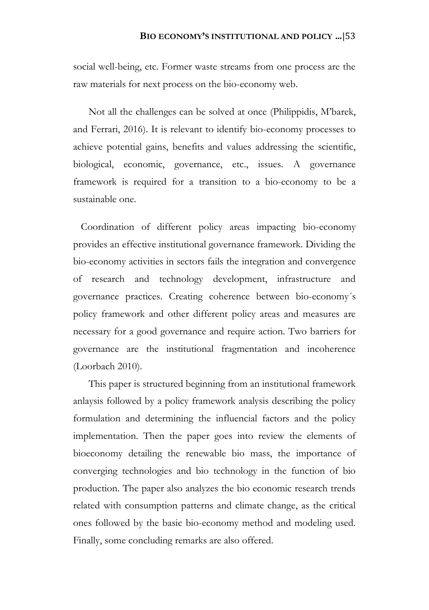social well-being, etc. Former waste streams from one process are the raw materials for next process on the bio-economy web.

Not all the challenges can be solved at once (Philippidis, M'barek, and Ferrari, 2016). It is relevant to identify bio-economy processes to achieve potential gains, benefits and values addressing the scientific, biological, economic, governance, etc., issues. A governance framework is required for a transition to a bio-economy to be a sustainable one.

 Coordination of different policy areas impacting bio-economy provides an effective institutional governance framework. Dividing the bio-economy activities in sectors fails the integration and convergence of research and technology development, infrastructure and governance practices. Creating coherence between bio-economy´s policy framework and other different policy areas and measures are necessary for a good governance and require action. Two barriers for governance are the institutional fragmentation and incoherence (Loorbach 2010).

This paper is structured beginning from an institutional framework anlaysis followed by a policy framework analysis describing the policy formulation and determining the influencial factors and the policy implementation. Then the paper goes into review the elements of bioeconomy detailing the renewable bio mass, the importance of converging technologies and bio technology in the function of bio production. The paper also analyzes the bio economic research trends related with consumption patterns and climate change, as the critical ones followed by the basic bio-economy method and modeling used. Finally, some concluding remarks are also offered.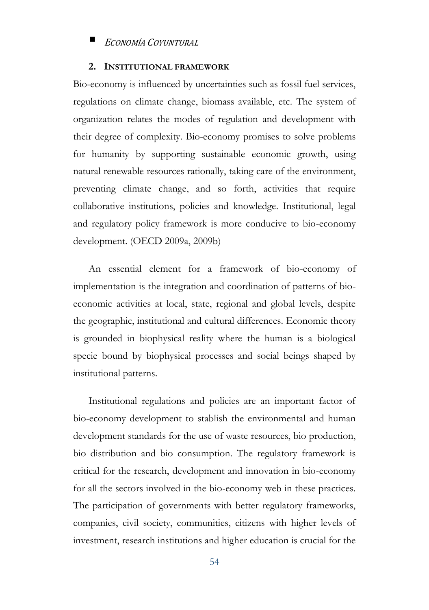### **2. INSTITUTIONAL FRAMEWORK**

Bio-economy is influenced by uncertainties such as fossil fuel services, regulations on climate change, biomass available, etc. The system of organization relates the modes of regulation and development with their degree of complexity. Bio-economy promises to solve problems for humanity by supporting sustainable economic growth, using natural renewable resources rationally, taking care of the environment, preventing climate change, and so forth, activities that require collaborative institutions, policies and knowledge. Institutional, legal and regulatory policy framework is more conducive to bio-economy development. (OECD 2009a, 2009b)

An essential element for a framework of bio-economy of implementation is the integration and coordination of patterns of bioeconomic activities at local, state, regional and global levels, despite the geographic, institutional and cultural differences. Economic theory is grounded in biophysical reality where the human is a biological specie bound by biophysical processes and social beings shaped by institutional patterns.

Institutional regulations and policies are an important factor of bio-economy development to stablish the environmental and human development standards for the use of waste resources, bio production, bio distribution and bio consumption. The regulatory framework is critical for the research, development and innovation in bio-economy for all the sectors involved in the bio-economy web in these practices. The participation of governments with better regulatory frameworks, companies, civil society, communities, citizens with higher levels of investment, research institutions and higher education is crucial for the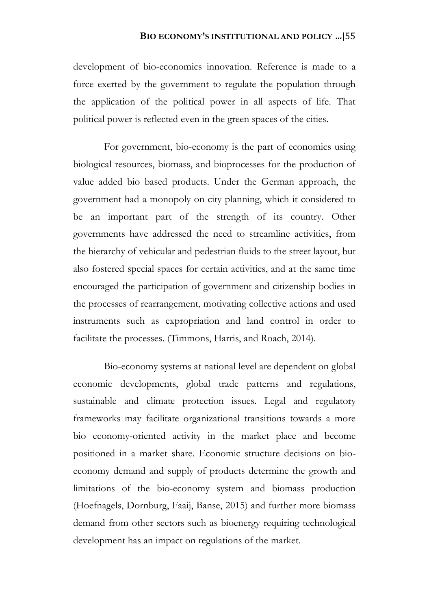development of bio-economics innovation. Reference is made to a force exerted by the government to regulate the population through the application of the political power in all aspects of life. That political power is reflected even in the green spaces of the cities.

For government, bio-economy is the part of economics using biological resources, biomass, and bioprocesses for the production of value added bio based products. Under the German approach, the government had a monopoly on city planning, which it considered to be an important part of the strength of its country. Other governments have addressed the need to streamline activities, from the hierarchy of vehicular and pedestrian fluids to the street layout, but also fostered special spaces for certain activities, and at the same time encouraged the participation of government and citizenship bodies in the processes of rearrangement, motivating collective actions and used instruments such as expropriation and land control in order to facilitate the processes. (Timmons, Harris, and Roach, 2014).

Bio-economy systems at national level are dependent on global economic developments, global trade patterns and regulations, sustainable and climate protection issues. Legal and regulatory frameworks may facilitate organizational transitions towards a more bio economy-oriented activity in the market place and become positioned in a market share. Economic structure decisions on bioeconomy demand and supply of products determine the growth and limitations of the bio-economy system and biomass production (Hoefnagels, Dornburg, Faaij, Banse, 2015) and further more biomass demand from other sectors such as bioenergy requiring technological development has an impact on regulations of the market.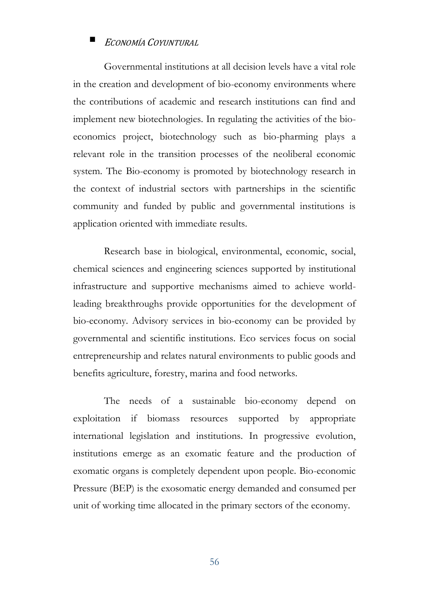Governmental institutions at all decision levels have a vital role in the creation and development of bio-economy environments where the contributions of academic and research institutions can find and implement new biotechnologies. In regulating the activities of the bioeconomics project, biotechnology such as bio-pharming plays a relevant role in the transition processes of the neoliberal economic system. The Bio-economy is promoted by biotechnology research in the context of industrial sectors with partnerships in the scientific community and funded by public and governmental institutions is application oriented with immediate results.

Research base in biological, environmental, economic, social, chemical sciences and engineering sciences supported by institutional infrastructure and supportive mechanisms aimed to achieve worldleading breakthroughs provide opportunities for the development of bio-economy. Advisory services in bio-economy can be provided by governmental and scientific institutions. Eco services focus on social entrepreneurship and relates natural environments to public goods and benefits agriculture, forestry, marina and food networks.

The needs of a sustainable bio-economy depend on exploitation if biomass resources supported by appropriate international legislation and institutions. In progressive evolution, institutions emerge as an exomatic feature and the production of exomatic organs is completely dependent upon people. Bio-economic Pressure (BEP) is the exosomatic energy demanded and consumed per unit of working time allocated in the primary sectors of the economy.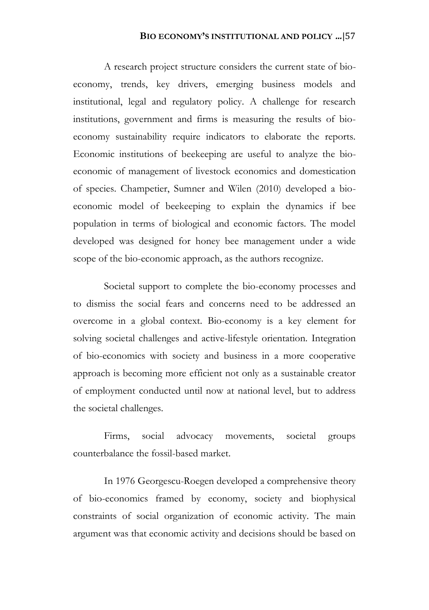A research project structure considers the current state of bioeconomy, trends, key drivers, emerging business models and institutional, legal and regulatory policy. A challenge for research institutions, government and firms is measuring the results of bioeconomy sustainability require indicators to elaborate the reports. Economic institutions of beekeeping are useful to analyze the bioeconomic of management of livestock economics and domestication of species. Champetier, Sumner and Wilen (2010) developed a bioeconomic model of beekeeping to explain the dynamics if bee population in terms of biological and economic factors. The model developed was designed for honey bee management under a wide scope of the bio-economic approach, as the authors recognize.

Societal support to complete the bio-economy processes and to dismiss the social fears and concerns need to be addressed an overcome in a global context. Bio-economy is a key element for solving societal challenges and active-lifestyle orientation. Integration of bio-economics with society and business in a more cooperative approach is becoming more efficient not only as a sustainable creator of employment conducted until now at national level, but to address the societal challenges.

Firms, social advocacy movements, societal groups counterbalance the fossil-based market.

In 1976 Georgescu-Roegen developed a comprehensive theory of bio-economics framed by economy, society and biophysical constraints of social organization of economic activity. The main argument was that economic activity and decisions should be based on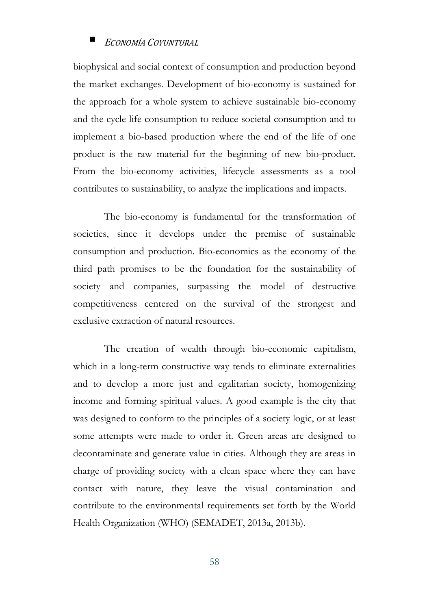biophysical and social context of consumption and production beyond the market exchanges. Development of bio-economy is sustained for the approach for a whole system to achieve sustainable bio-economy and the cycle life consumption to reduce societal consumption and to implement a bio-based production where the end of the life of one product is the raw material for the beginning of new bio-product. From the bio-economy activities, lifecycle assessments as a tool contributes to sustainability, to analyze the implications and impacts.

The bio-economy is fundamental for the transformation of societies, since it develops under the premise of sustainable consumption and production. Bio-economics as the economy of the third path promises to be the foundation for the sustainability of society and companies, surpassing the model of destructive competitiveness centered on the survival of the strongest and exclusive extraction of natural resources.

The creation of wealth through bio-economic capitalism, which in a long-term constructive way tends to eliminate externalities and to develop a more just and egalitarian society, homogenizing income and forming spiritual values. A good example is the city that was designed to conform to the principles of a society logic, or at least some attempts were made to order it. Green areas are designed to decontaminate and generate value in cities. Although they are areas in charge of providing society with a clean space where they can have contact with nature, they leave the visual contamination and contribute to the environmental requirements set forth by the World Health Organization (WHO) (SEMADET, 2013a, 2013b).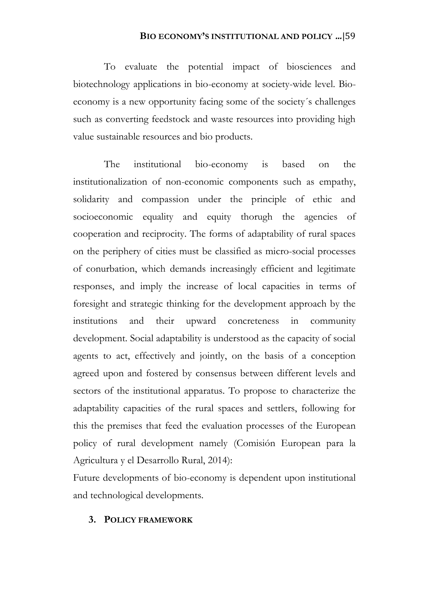To evaluate the potential impact of biosciences and biotechnology applications in bio-economy at society-wide level. Bioeconomy is a new opportunity facing some of the society´s challenges such as converting feedstock and waste resources into providing high value sustainable resources and bio products.

The institutional bio-economy is based on the institutionalization of non-economic components such as empathy, solidarity and compassion under the principle of ethic and socioeconomic equality and equity thorugh the agencies of cooperation and reciprocity. The forms of adaptability of rural spaces on the periphery of cities must be classified as micro-social processes of conurbation, which demands increasingly efficient and legitimate responses, and imply the increase of local capacities in terms of foresight and strategic thinking for the development approach by the institutions and their upward concreteness in community development. Social adaptability is understood as the capacity of social agents to act, effectively and jointly, on the basis of a conception agreed upon and fostered by consensus between different levels and sectors of the institutional apparatus. To propose to characterize the adaptability capacities of the rural spaces and settlers, following for this the premises that feed the evaluation processes of the European policy of rural development namely (Comisión European para la Agricultura y el Desarrollo Rural, 2014):

Future developments of bio-economy is dependent upon institutional and technological developments.

### **3. POLICY FRAMEWORK**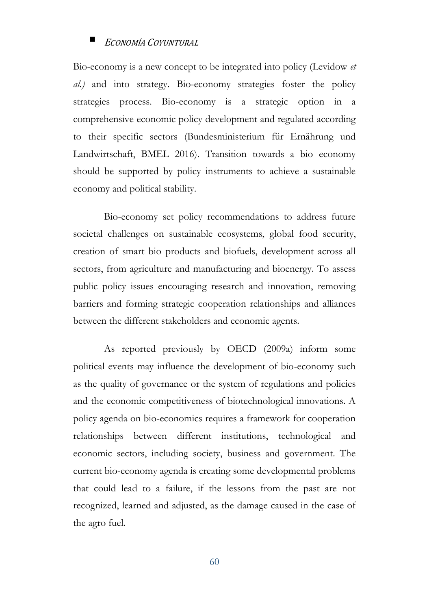Bio-economy is a new concept to be integrated into policy (Levidow *et al.)* and into strategy. Bio-economy strategies foster the policy strategies process. Bio-economy is a strategic option in a comprehensive economic policy development and regulated according to their specific sectors (Bundesministerium für Ernährung und Landwirtschaft, BMEL 2016). Transition towards a bio economy should be supported by policy instruments to achieve a sustainable economy and political stability.

Bio-economy set policy recommendations to address future societal challenges on sustainable ecosystems, global food security, creation of smart bio products and biofuels, development across all sectors, from agriculture and manufacturing and bioenergy. To assess public policy issues encouraging research and innovation, removing barriers and forming strategic cooperation relationships and alliances between the different stakeholders and economic agents.

As reported previously by OECD (2009a) inform some political events may influence the development of bio-economy such as the quality of governance or the system of regulations and policies and the economic competitiveness of biotechnological innovations. A policy agenda on bio-economics requires a framework for cooperation relationships between different institutions, technological and economic sectors, including society, business and government. The current bio-economy agenda is creating some developmental problems that could lead to a failure, if the lessons from the past are not recognized, learned and adjusted, as the damage caused in the case of the agro fuel.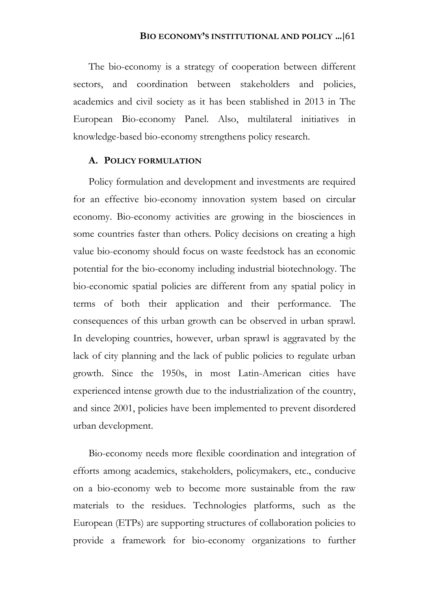The bio-economy is a strategy of cooperation between different sectors, and coordination between stakeholders and policies, academics and civil society as it has been stablished in 2013 in The European Bio-economy Panel. Also, multilateral initiatives in knowledge-based bio-economy strengthens policy research.

### **A. POLICY FORMULATION**

Policy formulation and development and investments are required for an effective bio-economy innovation system based on circular economy. Bio-economy activities are growing in the biosciences in some countries faster than others. Policy decisions on creating a high value bio-economy should focus on waste feedstock has an economic potential for the bio-economy including industrial biotechnology. The bio-economic spatial policies are different from any spatial policy in terms of both their application and their performance. The consequences of this urban growth can be observed in urban sprawl. In developing countries, however, urban sprawl is aggravated by the lack of city planning and the lack of public policies to regulate urban growth. Since the 1950s, in most Latin-American cities have experienced intense growth due to the industrialization of the country, and since 2001, policies have been implemented to prevent disordered urban development.

Bio-economy needs more flexible coordination and integration of efforts among academics, stakeholders, policymakers, etc., conducive on a bio-economy web to become more sustainable from the raw materials to the residues. Technologies platforms, such as the European (ETPs) are supporting structures of collaboration policies to provide a framework for bio-economy organizations to further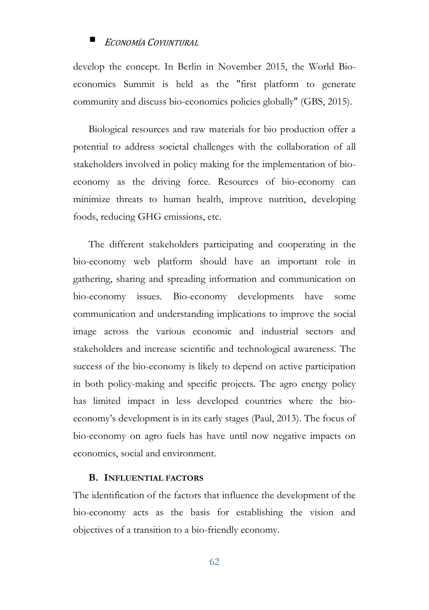develop the concept. In Berlin in November 2015, the World Bioeconomics Summit is held as the "first platform to generate community and discuss bio-economics policies globally" (GBS, 2015).

Biological resources and raw materials for bio production offer a potential to address societal challenges with the collaboration of all stakeholders involved in policy making for the implementation of bioeconomy as the driving force. Resources of bio-economy can minimize threats to human health, improve nutrition, developing foods, reducing GHG emissions, etc.

The different stakeholders participating and cooperating in the bio-economy web platform should have an important role in gathering, sharing and spreading information and communication on bio-economy issues. Bio-economy developments have some communication and understanding implications to improve the social image across the various economic and industrial sectors and stakeholders and increase scientific and technological awareness. The success of the bio-economy is likely to depend on active participation in both policy-making and specific projects. The agro energy policy has limited impact in less developed countries where the bioeconomy's development is in its early stages (Paul, 2013). The focus of bio-economy on agro fuels has have until now negative impacts on economics, social and environment.

### **B. INFLUENTIAL FACTORS**

The identification of the factors that influence the development of the bio-economy acts as the basis for establishing the vision and objectives of a transition to a bio-friendly economy.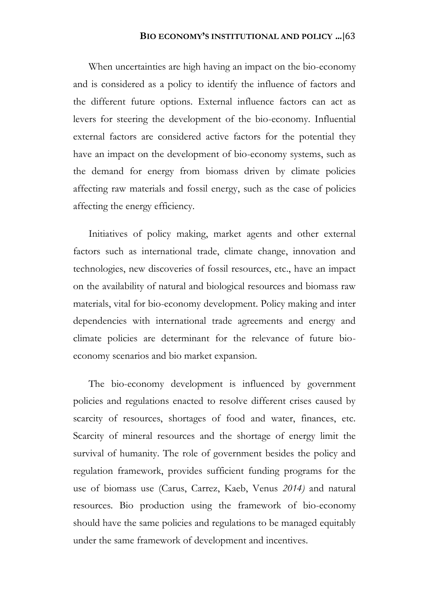When uncertainties are high having an impact on the bio-economy and is considered as a policy to identify the influence of factors and the different future options. External influence factors can act as levers for steering the development of the bio-economy. Influential external factors are considered active factors for the potential they have an impact on the development of bio-economy systems, such as the demand for energy from biomass driven by climate policies affecting raw materials and fossil energy, such as the case of policies affecting the energy efficiency.

Initiatives of policy making, market agents and other external factors such as international trade, climate change, innovation and technologies, new discoveries of fossil resources, etc., have an impact on the availability of natural and biological resources and biomass raw materials, vital for bio-economy development. Policy making and inter dependencies with international trade agreements and energy and climate policies are determinant for the relevance of future bioeconomy scenarios and bio market expansion.

The bio-economy development is influenced by government policies and regulations enacted to resolve different crises caused by scarcity of resources, shortages of food and water, finances, etc. Scarcity of mineral resources and the shortage of energy limit the survival of humanity. The role of government besides the policy and regulation framework, provides sufficient funding programs for the use of biomass use (Carus, Carrez, Kaeb, Venus *2014)* and natural resources. Bio production using the framework of bio-economy should have the same policies and regulations to be managed equitably under the same framework of development and incentives.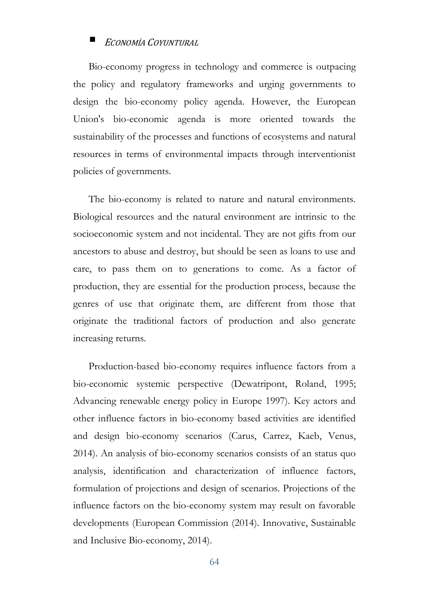Bio-economy progress in technology and commerce is outpacing the policy and regulatory frameworks and urging governments to design the bio-economy policy agenda. However, the European Union's bio-economic agenda is more oriented towards the sustainability of the processes and functions of ecosystems and natural resources in terms of environmental impacts through interventionist policies of governments.

The bio-economy is related to nature and natural environments. Biological resources and the natural environment are intrinsic to the socioeconomic system and not incidental. They are not gifts from our ancestors to abuse and destroy, but should be seen as loans to use and care, to pass them on to generations to come. As a factor of production, they are essential for the production process, because the genres of use that originate them, are different from those that originate the traditional factors of production and also generate increasing returns.

Production-based bio-economy requires influence factors from a bio-economic systemic perspective (Dewatripont, Roland, 1995; Advancing renewable energy policy in Europe 1997). Key actors and other influence factors in bio-economy based activities are identified and design bio-economy scenarios (Carus, Carrez, Kaeb, Venus, 2014). An analysis of bio-economy scenarios consists of an status quo analysis, identification and characterization of influence factors, formulation of projections and design of scenarios. Projections of the influence factors on the bio-economy system may result on favorable developments (European Commission (2014). Innovative, Sustainable and Inclusive Bio-economy, 2014).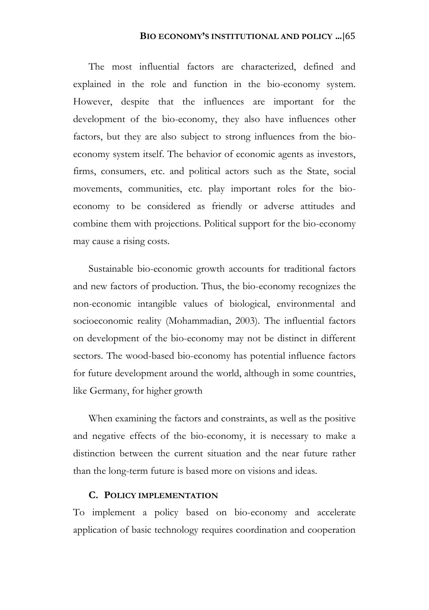The most influential factors are characterized, defined and explained in the role and function in the bio-economy system. However, despite that the influences are important for the development of the bio-economy, they also have influences other factors, but they are also subject to strong influences from the bioeconomy system itself. The behavior of economic agents as investors, firms, consumers, etc. and political actors such as the State, social movements, communities, etc. play important roles for the bioeconomy to be considered as friendly or adverse attitudes and combine them with projections. Political support for the bio-economy may cause a rising costs.

Sustainable bio-economic growth accounts for traditional factors and new factors of production. Thus, the bio-economy recognizes the non-economic intangible values of biological, environmental and socioeconomic reality (Mohammadian, 2003). The influential factors on development of the bio-economy may not be distinct in different sectors. The wood-based bio-economy has potential influence factors for future development around the world, although in some countries, like Germany, for higher growth

When examining the factors and constraints, as well as the positive and negative effects of the bio-economy, it is necessary to make a distinction between the current situation and the near future rather than the long-term future is based more on visions and ideas.

### **C. POLICY IMPLEMENTATION**

To implement a policy based on bio-economy and accelerate application of basic technology requires coordination and cooperation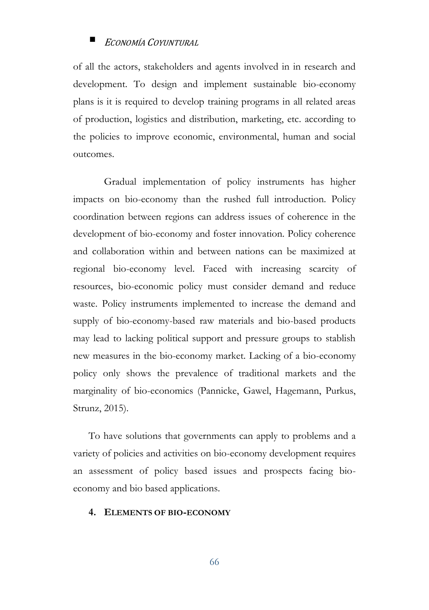of all the actors, stakeholders and agents involved in in research and development. To design and implement sustainable bio-economy plans is it is required to develop training programs in all related areas of production, logistics and distribution, marketing, etc. according to the policies to improve economic, environmental, human and social outcomes.

Gradual implementation of policy instruments has higher impacts on bio-economy than the rushed full introduction. Policy coordination between regions can address issues of coherence in the development of bio-economy and foster innovation. Policy coherence and collaboration within and between nations can be maximized at regional bio-economy level. Faced with increasing scarcity of resources, bio-economic policy must consider demand and reduce waste. Policy instruments implemented to increase the demand and supply of bio-economy-based raw materials and bio-based products may lead to lacking political support and pressure groups to stablish new measures in the bio-economy market. Lacking of a bio-economy policy only shows the prevalence of traditional markets and the marginality of bio-economics (Pannicke, Gawel, Hagemann, Purkus, Strunz, 2015).

To have solutions that governments can apply to problems and a variety of policies and activities on bio-economy development requires an assessment of policy based issues and prospects facing bioeconomy and bio based applications.

#### **4. ELEMENTS OF BIO-ECONOMY**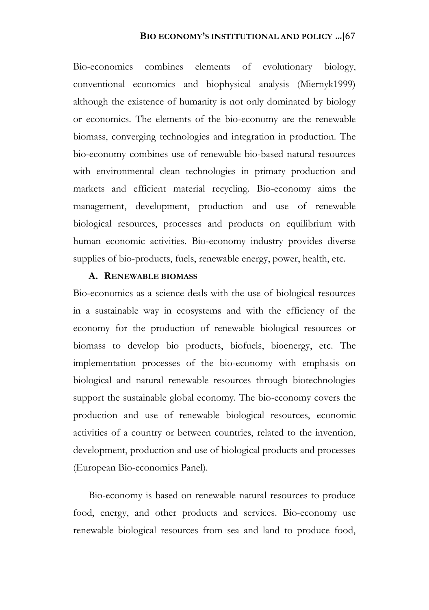Bio-economics combines elements of evolutionary biology, conventional economics and biophysical analysis (Miernyk1999) although the existence of humanity is not only dominated by biology or economics. The elements of the bio-economy are the renewable biomass, converging technologies and integration in production. The bio-economy combines use of renewable bio-based natural resources with environmental clean technologies in primary production and markets and efficient material recycling. Bio-economy aims the management, development, production and use of renewable biological resources, processes and products on equilibrium with human economic activities. Bio-economy industry provides diverse supplies of bio-products, fuels, renewable energy, power, health, etc.

### **A. RENEWABLE BIOMASS**

Bio-economics as a science deals with the use of biological resources in a sustainable way in ecosystems and with the efficiency of the economy for the production of renewable biological resources or biomass to develop bio products, biofuels, bioenergy, etc. The implementation processes of the bio-economy with emphasis on biological and natural renewable resources through biotechnologies support the sustainable global economy. The bio-economy covers the production and use of renewable biological resources, economic activities of a country or between countries, related to the invention, development, production and use of biological products and processes (European Bio-economics Panel).

Bio-economy is based on renewable natural resources to produce food, energy, and other products and services. Bio-economy use renewable biological resources from sea and land to produce food,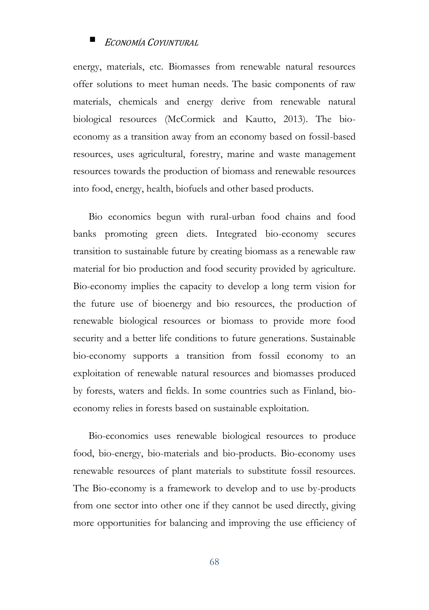energy, materials, etc. Biomasses from renewable natural resources offer solutions to meet human needs. The basic components of raw materials, chemicals and energy derive from renewable natural biological resources (McCormick and Kautto, 2013). The bioeconomy as a transition away from an economy based on fossil-based resources, uses agricultural, forestry, marine and waste management resources towards the production of biomass and renewable resources into food, energy, health, biofuels and other based products.

Bio economics begun with rural-urban food chains and food banks promoting green diets. Integrated bio-economy secures transition to sustainable future by creating biomass as a renewable raw material for bio production and food security provided by agriculture. Bio-economy implies the capacity to develop a long term vision for the future use of bioenergy and bio resources, the production of renewable biological resources or biomass to provide more food security and a better life conditions to future generations. Sustainable bio-economy supports a transition from fossil economy to an exploitation of renewable natural resources and biomasses produced by forests, waters and fields. In some countries such as Finland, bioeconomy relies in forests based on sustainable exploitation.

Bio-economics uses renewable biological resources to produce food, bio-energy, bio-materials and bio-products. Bio-economy uses renewable resources of plant materials to substitute fossil resources. The Bio-economy is a framework to develop and to use by-products from one sector into other one if they cannot be used directly, giving more opportunities for balancing and improving the use efficiency of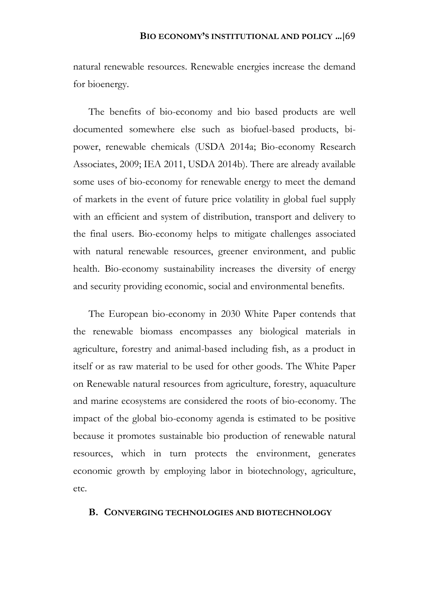natural renewable resources. Renewable energies increase the demand for bioenergy.

The benefits of bio-economy and bio based products are well documented somewhere else such as biofuel-based products, bipower, renewable chemicals (USDA 2014a; Bio-economy Research Associates, 2009; IEA 2011, USDA 2014b). There are already available some uses of bio-economy for renewable energy to meet the demand of markets in the event of future price volatility in global fuel supply with an efficient and system of distribution, transport and delivery to the final users. Bio-economy helps to mitigate challenges associated with natural renewable resources, greener environment, and public health. Bio-economy sustainability increases the diversity of energy and security providing economic, social and environmental benefits.

The European bio-economy in 2030 White Paper contends that the renewable biomass encompasses any biological materials in agriculture, forestry and animal-based including fish, as a product in itself or as raw material to be used for other goods. The White Paper on Renewable natural resources from agriculture, forestry, aquaculture and marine ecosystems are considered the roots of bio-economy. The impact of the global bio-economy agenda is estimated to be positive because it promotes sustainable bio production of renewable natural resources, which in turn protects the environment, generates economic growth by employing labor in biotechnology, agriculture, etc.

#### **B. CONVERGING TECHNOLOGIES AND BIOTECHNOLOGY**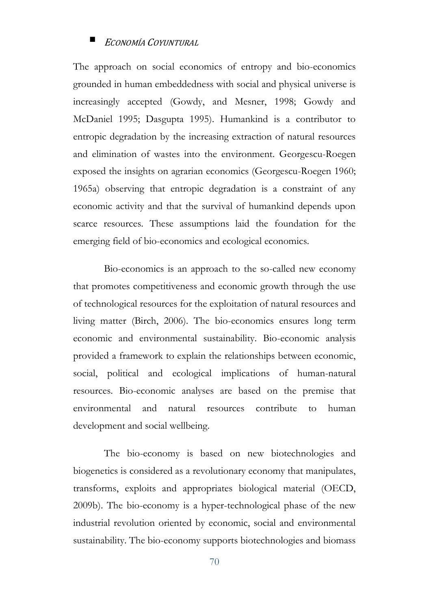The approach on social economics of entropy and bio-economics grounded in human embeddedness with social and physical universe is increasingly accepted (Gowdy, and Mesner, 1998; Gowdy and McDaniel 1995; Dasgupta 1995). Humankind is a contributor to entropic degradation by the increasing extraction of natural resources and elimination of wastes into the environment. Georgescu-Roegen exposed the insights on agrarian economics (Georgescu-Roegen 1960; 1965a) observing that entropic degradation is a constraint of any economic activity and that the survival of humankind depends upon scarce resources. These assumptions laid the foundation for the emerging field of bio-economics and ecological economics.

Bio-economics is an approach to the so-called new economy that promotes competitiveness and economic growth through the use of technological resources for the exploitation of natural resources and living matter (Birch, 2006). The bio-economics ensures long term economic and environmental sustainability. Bio-economic analysis provided a framework to explain the relationships between economic, social, political and ecological implications of human-natural resources. Bio-economic analyses are based on the premise that environmental and natural resources contribute to human development and social wellbeing.

The bio-economy is based on new biotechnologies and biogenetics is considered as a revolutionary economy that manipulates, transforms, exploits and appropriates biological material (OECD, 2009b). The bio-economy is a hyper-technological phase of the new industrial revolution oriented by economic, social and environmental sustainability. The bio-economy supports biotechnologies and biomass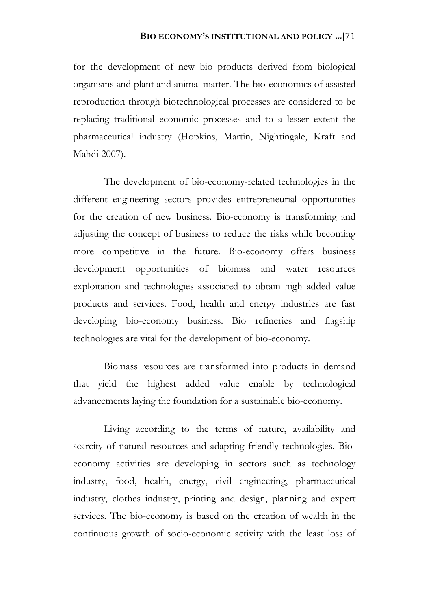for the development of new bio products derived from biological organisms and plant and animal matter. The bio-economics of assisted reproduction through biotechnological processes are considered to be replacing traditional economic processes and to a lesser extent the pharmaceutical industry (Hopkins, Martin, Nightingale, Kraft and Mahdi 2007).

The development of bio-economy-related technologies in the different engineering sectors provides entrepreneurial opportunities for the creation of new business. Bio-economy is transforming and adjusting the concept of business to reduce the risks while becoming more competitive in the future. Bio-economy offers business development opportunities of biomass and water resources exploitation and technologies associated to obtain high added value products and services. Food, health and energy industries are fast developing bio-economy business. Bio refineries and flagship technologies are vital for the development of bio-economy.

Biomass resources are transformed into products in demand that yield the highest added value enable by technological advancements laying the foundation for a sustainable bio-economy.

Living according to the terms of nature, availability and scarcity of natural resources and adapting friendly technologies. Bioeconomy activities are developing in sectors such as technology industry, food, health, energy, civil engineering, pharmaceutical industry, clothes industry, printing and design, planning and expert services. The bio-economy is based on the creation of wealth in the continuous growth of socio-economic activity with the least loss of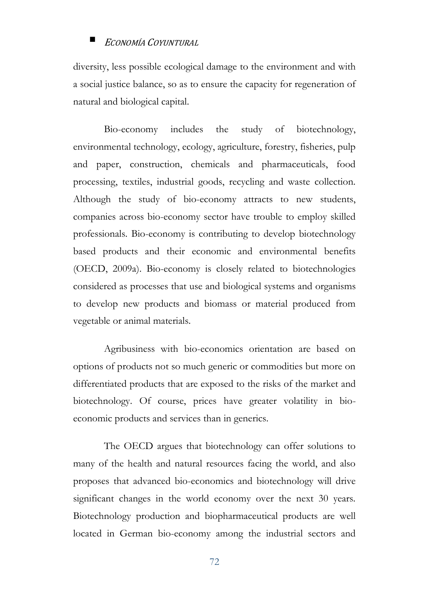diversity, less possible ecological damage to the environment and with a social justice balance, so as to ensure the capacity for regeneration of natural and biological capital.

Bio-economy includes the study of biotechnology, environmental technology, ecology, agriculture, forestry, fisheries, pulp and paper, construction, chemicals and pharmaceuticals, food processing, textiles, industrial goods, recycling and waste collection. Although the study of bio-economy attracts to new students, companies across bio-economy sector have trouble to employ skilled professionals. Bio-economy is contributing to develop biotechnology based products and their economic and environmental benefits (OECD, 2009a). Bio-economy is closely related to biotechnologies considered as processes that use and biological systems and organisms to develop new products and biomass or material produced from vegetable or animal materials.

Agribusiness with bio-economics orientation are based on options of products not so much generic or commodities but more on differentiated products that are exposed to the risks of the market and biotechnology. Of course, prices have greater volatility in bioeconomic products and services than in generics.

The OECD argues that biotechnology can offer solutions to many of the health and natural resources facing the world, and also proposes that advanced bio-economics and biotechnology will drive significant changes in the world economy over the next 30 years. Biotechnology production and biopharmaceutical products are well located in German bio-economy among the industrial sectors and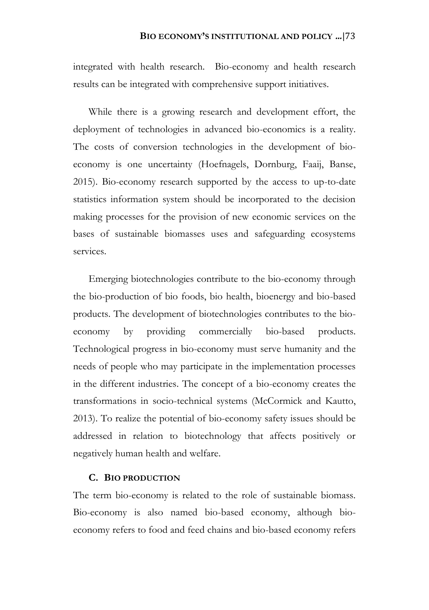integrated with health research. Bio-economy and health research results can be integrated with comprehensive support initiatives.

While there is a growing research and development effort, the deployment of technologies in advanced bio-economics is a reality. The costs of conversion technologies in the development of bioeconomy is one uncertainty (Hoefnagels, Dornburg, Faaij, Banse, 2015). Bio-economy research supported by the access to up-to-date statistics information system should be incorporated to the decision making processes for the provision of new economic services on the bases of sustainable biomasses uses and safeguarding ecosystems services.

Emerging biotechnologies contribute to the bio-economy through the bio-production of bio foods, bio health, bioenergy and bio-based products. The development of biotechnologies contributes to the bioeconomy by providing commercially bio-based products. Technological progress in bio-economy must serve humanity and the needs of people who may participate in the implementation processes in the different industries. The concept of a bio-economy creates the transformations in socio-technical systems (McCormick and Kautto, 2013). To realize the potential of bio-economy safety issues should be addressed in relation to biotechnology that affects positively or negatively human health and welfare.

### **C. BIO PRODUCTION**

The term bio-economy is related to the role of sustainable biomass. Bio-economy is also named bio-based economy, although bioeconomy refers to food and feed chains and bio-based economy refers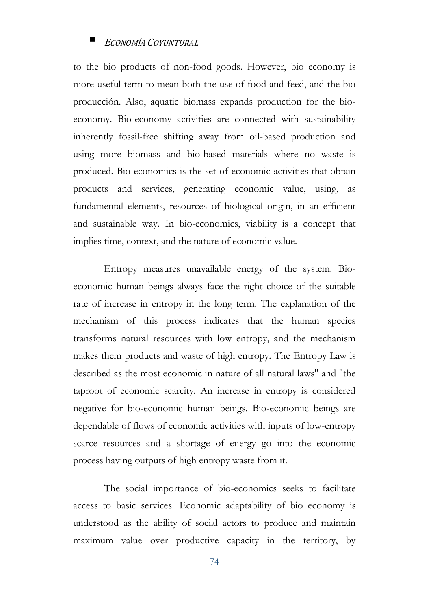to the bio products of non-food goods. However, bio economy is more useful term to mean both the use of food and feed, and the bio producción. Also, aquatic biomass expands production for the bioeconomy. Bio-economy activities are connected with sustainability inherently fossil-free shifting away from oil-based production and using more biomass and bio-based materials where no waste is produced. Bio-economics is the set of economic activities that obtain products and services, generating economic value, using, as fundamental elements, resources of biological origin, in an efficient and sustainable way. In bio-economics, viability is a concept that implies time, context, and the nature of economic value.

Entropy measures unavailable energy of the system. Bioeconomic human beings always face the right choice of the suitable rate of increase in entropy in the long term. The explanation of the mechanism of this process indicates that the human species transforms natural resources with low entropy, and the mechanism makes them products and waste of high entropy. The Entropy Law is described as the most economic in nature of all natural laws" and "the taproot of economic scarcity. An increase in entropy is considered negative for bio-economic human beings. Bio-economic beings are dependable of flows of economic activities with inputs of low-entropy scarce resources and a shortage of energy go into the economic process having outputs of high entropy waste from it.

The social importance of bio-economics seeks to facilitate access to basic services. Economic adaptability of bio economy is understood as the ability of social actors to produce and maintain maximum value over productive capacity in the territory, by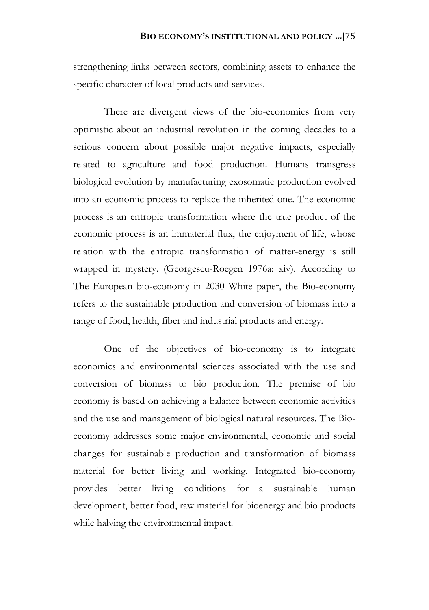strengthening links between sectors, combining assets to enhance the specific character of local products and services.

There are divergent views of the bio-economics from very optimistic about an industrial revolution in the coming decades to a serious concern about possible major negative impacts, especially related to agriculture and food production. Humans transgress biological evolution by manufacturing exosomatic production evolved into an economic process to replace the inherited one. The economic process is an entropic transformation where the true product of the economic process is an immaterial flux, the enjoyment of life, whose relation with the entropic transformation of matter-energy is still wrapped in mystery. (Georgescu-Roegen 1976a: xiv). According to The European bio-economy in 2030 White paper, the Bio-economy refers to the sustainable production and conversion of biomass into a range of food, health, fiber and industrial products and energy.

One of the objectives of bio-economy is to integrate economics and environmental sciences associated with the use and conversion of biomass to bio production. The premise of bio economy is based on achieving a balance between economic activities and the use and management of biological natural resources. The Bioeconomy addresses some major environmental, economic and social changes for sustainable production and transformation of biomass material for better living and working. Integrated bio-economy provides better living conditions for a sustainable human development, better food, raw material for bioenergy and bio products while halving the environmental impact.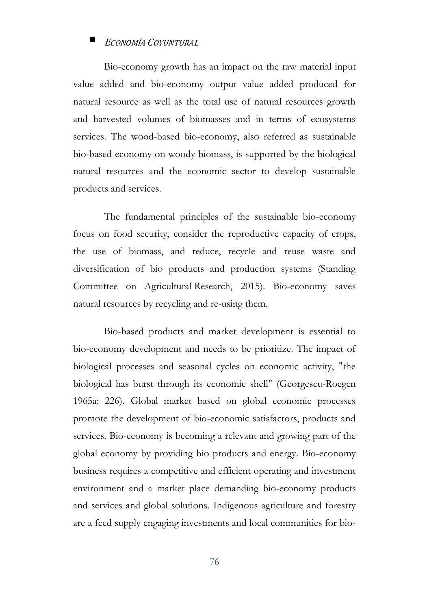Bio-economy growth has an impact on the raw material input value added and bio-economy output value added produced for natural resource as well as the total use of natural resources growth and harvested volumes of biomasses and in terms of ecosystems services. The wood-based bio-economy, also referred as sustainable bio-based economy on woody biomass, is supported by the biological natural resources and the economic sector to develop sustainable products and services.

The fundamental principles of the sustainable bio-economy focus on food security, consider the reproductive capacity of crops, the use of biomass, and reduce, recycle and reuse waste and diversification of bio products and production systems (Standing Committee on Agricultural Research, 2015). Bio-economy saves natural resources by recycling and re-using them.

Bio-based products and market development is essential to bio-economy development and needs to be prioritize. The impact of biological processes and seasonal cycles on economic activity, "the biological has burst through its economic shell" (Georgescu-Roegen 1965a: 226). Global market based on global economic processes promote the development of bio-economic satisfactors, products and services. Bio-economy is becoming a relevant and growing part of the global economy by providing bio products and energy. Bio-economy business requires a competitive and efficient operating and investment environment and a market place demanding bio-economy products and services and global solutions. Indigenous agriculture and forestry are a feed supply engaging investments and local communities for bio-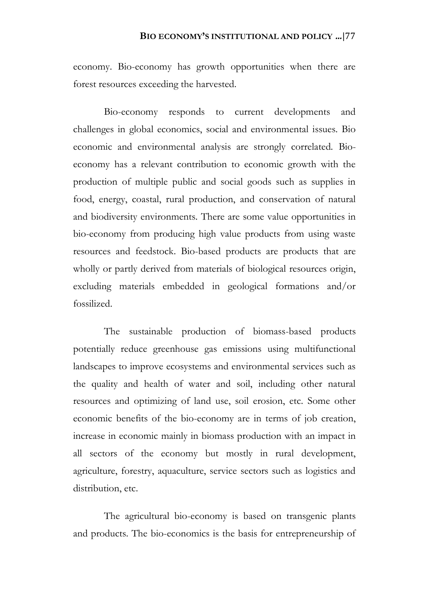economy. Bio-economy has growth opportunities when there are forest resources exceeding the harvested.

Bio-economy responds to current developments and challenges in global economics, social and environmental issues. Bio economic and environmental analysis are strongly correlated. Bioeconomy has a relevant contribution to economic growth with the production of multiple public and social goods such as supplies in food, energy, coastal, rural production, and conservation of natural and biodiversity environments. There are some value opportunities in bio-economy from producing high value products from using waste resources and feedstock. Bio-based products are products that are wholly or partly derived from materials of biological resources origin, excluding materials embedded in geological formations and/or fossilized.

The sustainable production of biomass-based products potentially reduce greenhouse gas emissions using multifunctional landscapes to improve ecosystems and environmental services such as the quality and health of water and soil, including other natural resources and optimizing of land use, soil erosion, etc. Some other economic benefits of the bio-economy are in terms of job creation, increase in economic mainly in biomass production with an impact in all sectors of the economy but mostly in rural development, agriculture, forestry, aquaculture, service sectors such as logistics and distribution, etc.

The agricultural bio-economy is based on transgenic plants and products. The bio-economics is the basis for entrepreneurship of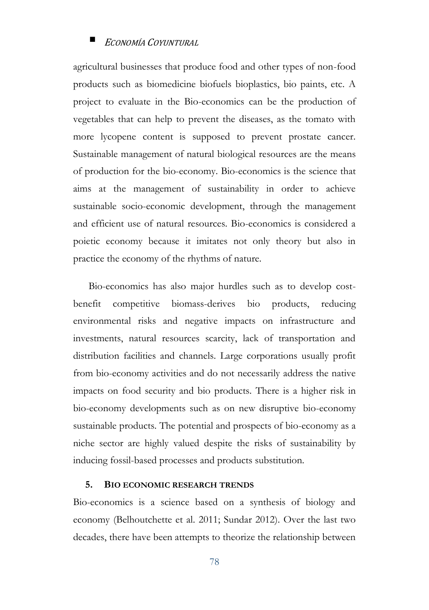agricultural businesses that produce food and other types of non-food products such as biomedicine biofuels bioplastics, bio paints, etc. A project to evaluate in the Bio-economics can be the production of vegetables that can help to prevent the diseases, as the tomato with more lycopene content is supposed to prevent prostate cancer. Sustainable management of natural biological resources are the means of production for the bio-economy. Bio-economics is the science that aims at the management of sustainability in order to achieve sustainable socio-economic development, through the management and efficient use of natural resources. Bio-economics is considered a poietic economy because it imitates not only theory but also in practice the economy of the rhythms of nature.

Bio-economics has also major hurdles such as to develop costbenefit competitive biomass-derives bio products, reducing environmental risks and negative impacts on infrastructure and investments, natural resources scarcity, lack of transportation and distribution facilities and channels. Large corporations usually profit from bio-economy activities and do not necessarily address the native impacts on food security and bio products. There is a higher risk in bio-economy developments such as on new disruptive bio-economy sustainable products. The potential and prospects of bio-economy as a niche sector are highly valued despite the risks of sustainability by inducing fossil-based processes and products substitution.

### **5. BIO ECONOMIC RESEARCH TRENDS**

Bio-economics is a science based on a synthesis of biology and economy (Belhoutchette et al. 2011; Sundar 2012). Over the last two decades, there have been attempts to theorize the relationship between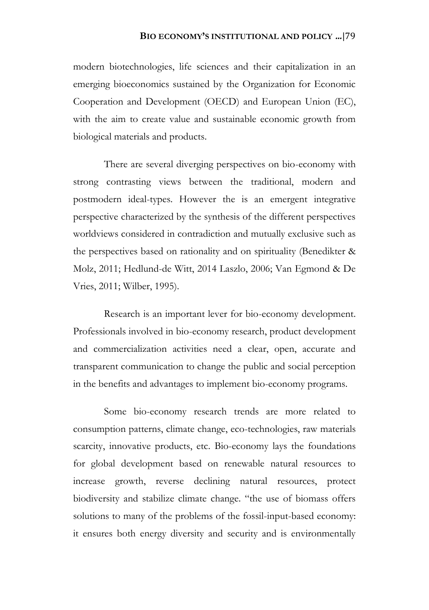modern biotechnologies, life sciences and their capitalization in an emerging bioeconomics sustained by the Organization for Economic Cooperation and Development (OECD) and European Union (EC), with the aim to create value and sustainable economic growth from biological materials and products.

There are several diverging perspectives on bio-economy with strong contrasting views between the traditional, modern and postmodern ideal-types. However the is an emergent integrative perspective characterized by the synthesis of the different perspectives worldviews considered in contradiction and mutually exclusive such as the perspectives based on rationality and on spirituality (Benedikter & Molz, 2011; Hedlund-de Witt, 2014 Laszlo, 2006; Van Egmond & De Vries, 2011; Wilber, 1995).

Research is an important lever for bio-economy development. Professionals involved in bio-economy research, product development and commercialization activities need a clear, open, accurate and transparent communication to change the public and social perception in the benefits and advantages to implement bio-economy programs.

Some bio-economy research trends are more related to consumption patterns, climate change, eco-technologies, raw materials scarcity, innovative products, etc. Bio-economy lays the foundations for global development based on renewable natural resources to increase growth, reverse declining natural resources, protect biodiversity and stabilize climate change. "the use of biomass offers solutions to many of the problems of the fossil-input-based economy: it ensures both energy diversity and security and is environmentally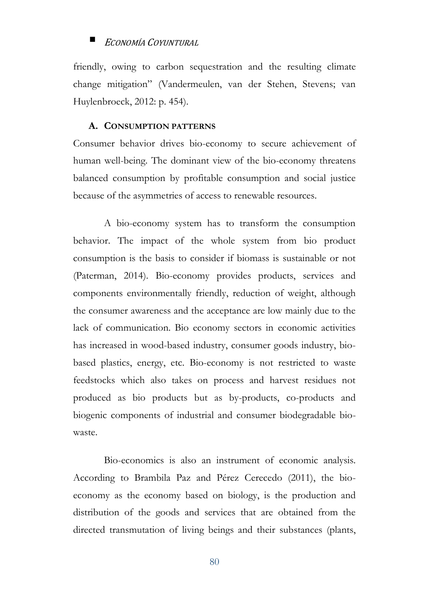friendly, owing to carbon sequestration and the resulting climate change mitigation" (Vandermeulen, van der Stehen, Stevens; van Huylenbroeck, 2012: p. 454).

### **A. CONSUMPTION PATTERNS**

Consumer behavior drives bio-economy to secure achievement of human well-being. The dominant view of the bio-economy threatens balanced consumption by profitable consumption and social justice because of the asymmetries of access to renewable resources.

A bio-economy system has to transform the consumption behavior. The impact of the whole system from bio product consumption is the basis to consider if biomass is sustainable or not (Paterman, 2014). Bio-economy provides products, services and components environmentally friendly, reduction of weight, although the consumer awareness and the acceptance are low mainly due to the lack of communication. Bio economy sectors in economic activities has increased in wood-based industry, consumer goods industry, biobased plastics, energy, etc. Bio-economy is not restricted to waste feedstocks which also takes on process and harvest residues not produced as bio products but as by-products, co-products and biogenic components of industrial and consumer biodegradable biowaste.

Bio-economics is also an instrument of economic analysis. According to Brambila Paz and Pérez Cerecedo (2011), the bioeconomy as the economy based on biology, is the production and distribution of the goods and services that are obtained from the directed transmutation of living beings and their substances (plants,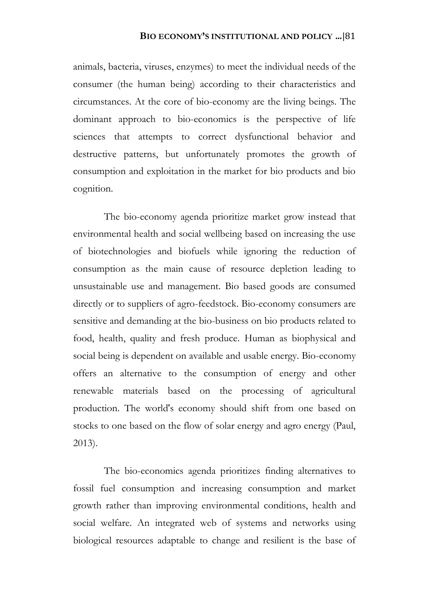animals, bacteria, viruses, enzymes) to meet the individual needs of the consumer (the human being) according to their characteristics and circumstances. At the core of bio-economy are the living beings. The dominant approach to bio-economics is the perspective of life sciences that attempts to correct dysfunctional behavior and destructive patterns, but unfortunately promotes the growth of consumption and exploitation in the market for bio products and bio cognition.

The bio-economy agenda prioritize market grow instead that environmental health and social wellbeing based on increasing the use of biotechnologies and biofuels while ignoring the reduction of consumption as the main cause of resource depletion leading to unsustainable use and management. Bio based goods are consumed directly or to suppliers of agro-feedstock. Bio-economy consumers are sensitive and demanding at the bio-business on bio products related to food, health, quality and fresh produce. Human as biophysical and social being is dependent on available and usable energy. Bio-economy offers an alternative to the consumption of energy and other renewable materials based on the processing of agricultural production. The world's economy should shift from one based on stocks to one based on the flow of solar energy and agro energy (Paul, 2013).

The bio-economics agenda prioritizes finding alternatives to fossil fuel consumption and increasing consumption and market growth rather than improving environmental conditions, health and social welfare. An integrated web of systems and networks using biological resources adaptable to change and resilient is the base of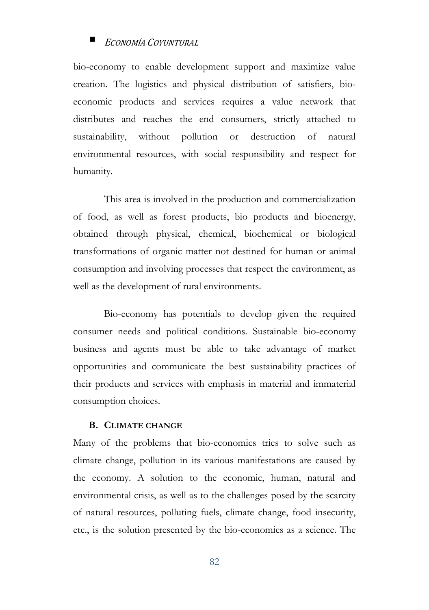bio-economy to enable development support and maximize value creation. The logistics and physical distribution of satisfiers, bioeconomic products and services requires a value network that distributes and reaches the end consumers, strictly attached to sustainability, without pollution or destruction of natural environmental resources, with social responsibility and respect for humanity.

This area is involved in the production and commercialization of food, as well as forest products, bio products and bioenergy, obtained through physical, chemical, biochemical or biological transformations of organic matter not destined for human or animal consumption and involving processes that respect the environment, as well as the development of rural environments.

Bio-economy has potentials to develop given the required consumer needs and political conditions. Sustainable bio-economy business and agents must be able to take advantage of market opportunities and communicate the best sustainability practices of their products and services with emphasis in material and immaterial consumption choices.

### **B. CLIMATE CHANGE**

Many of the problems that bio-economics tries to solve such as climate change, pollution in its various manifestations are caused by the economy. A solution to the economic, human, natural and environmental crisis, as well as to the challenges posed by the scarcity of natural resources, polluting fuels, climate change, food insecurity, etc., is the solution presented by the bio-economics as a science. The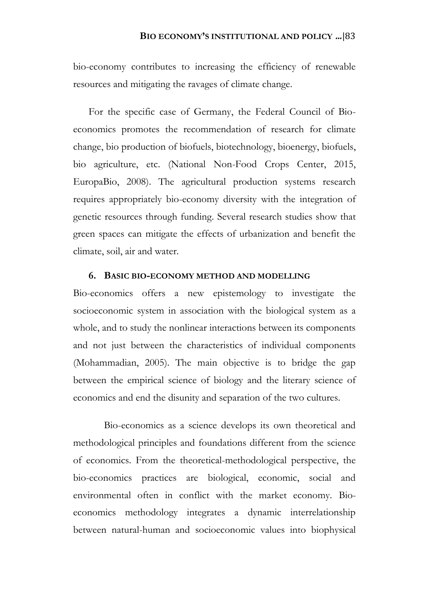bio-economy contributes to increasing the efficiency of renewable resources and mitigating the ravages of climate change.

For the specific case of Germany, the Federal Council of Bioeconomics promotes the recommendation of research for climate change, bio production of biofuels, biotechnology, bioenergy, biofuels, bio agriculture, etc. (National Non-Food Crops Center, 2015, EuropaBio, 2008). The agricultural production systems research requires appropriately bio-economy diversity with the integration of genetic resources through funding. Several research studies show that green spaces can mitigate the effects of urbanization and benefit the climate, soil, air and water.

## **6. BASIC BIO-ECONOMY METHOD AND MODELLING**

Bio-economics offers a new epistemology to investigate the socioeconomic system in association with the biological system as a whole, and to study the nonlinear interactions between its components and not just between the characteristics of individual components (Mohammadian, 2005). The main objective is to bridge the gap between the empirical science of biology and the literary science of economics and end the disunity and separation of the two cultures.

Bio-economics as a science develops its own theoretical and methodological principles and foundations different from the science of economics. From the theoretical-methodological perspective, the bio-economics practices are biological, economic, social and environmental often in conflict with the market economy. Bioeconomics methodology integrates a dynamic interrelationship between natural-human and socioeconomic values into biophysical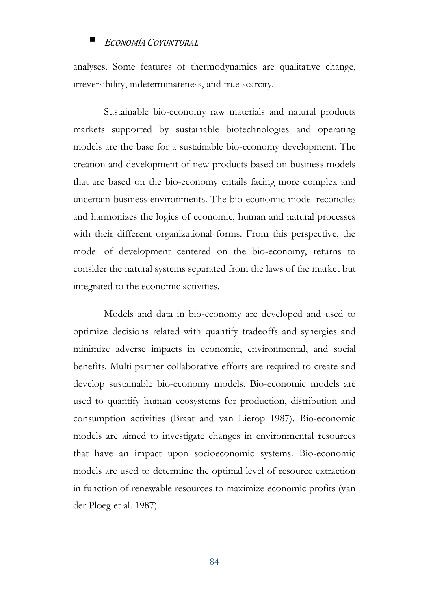analyses. Some features of thermodynamics are qualitative change, irreversibility, indeterminateness, and true scarcity.

Sustainable bio-economy raw materials and natural products markets supported by sustainable biotechnologies and operating models are the base for a sustainable bio-economy development. The creation and development of new products based on business models that are based on the bio-economy entails facing more complex and uncertain business environments. The bio-economic model reconciles and harmonizes the logics of economic, human and natural processes with their different organizational forms. From this perspective, the model of development centered on the bio-economy, returns to consider the natural systems separated from the laws of the market but integrated to the economic activities.

Models and data in bio-economy are developed and used to optimize decisions related with quantify tradeoffs and synergies and minimize adverse impacts in economic, environmental, and social benefits. Multi partner collaborative efforts are required to create and develop sustainable bio-economy models. Bio-economic models are used to quantify human ecosystems for production, distribution and consumption activities (Braat and van Lierop 1987). Bio-economic models are aimed to investigate changes in environmental resources that have an impact upon socioeconomic systems. Bio-economic models are used to determine the optimal level of resource extraction in function of renewable resources to maximize economic profits (van der Ploeg et al. 1987).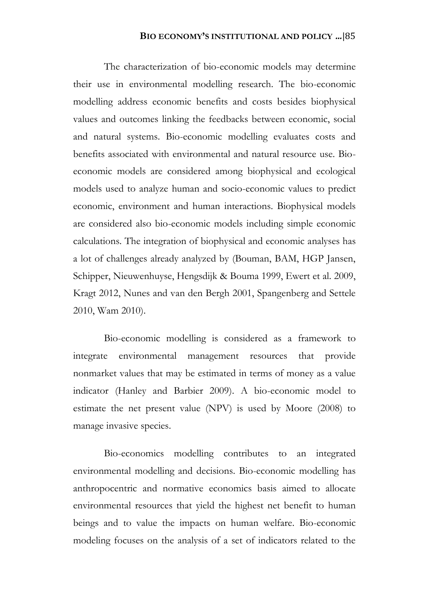The characterization of bio-economic models may determine their use in environmental modelling research. The bio-economic modelling address economic benefits and costs besides biophysical values and outcomes linking the feedbacks between economic, social and natural systems. Bio-economic modelling evaluates costs and benefits associated with environmental and natural resource use. Bioeconomic models are considered among biophysical and ecological models used to analyze human and socio-economic values to predict economic, environment and human interactions. Biophysical models are considered also bio-economic models including simple economic calculations. The integration of biophysical and economic analyses has a lot of challenges already analyzed by (Bouman, BAM, HGP Jansen, Schipper, Nieuwenhuyse, Hengsdijk & Bouma 1999, Ewert et al. 2009, Kragt 2012, Nunes and van den Bergh 2001, Spangenberg and Settele 2010, Wam 2010).

Bio-economic modelling is considered as a framework to integrate environmental management resources that provide nonmarket values that may be estimated in terms of money as a value indicator (Hanley and Barbier 2009). A bio-economic model to estimate the net present value (NPV) is used by Moore (2008) to manage invasive species.

Bio-economics modelling contributes to an integrated environmental modelling and decisions. Bio-economic modelling has anthropocentric and normative economics basis aimed to allocate environmental resources that yield the highest net benefit to human beings and to value the impacts on human welfare. Bio-economic modeling focuses on the analysis of a set of indicators related to the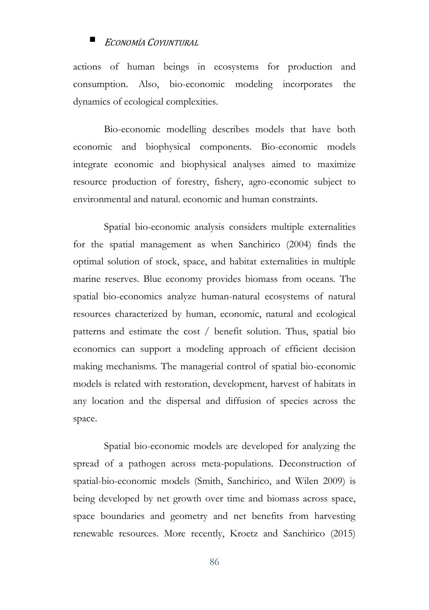actions of human beings in ecosystems for production and consumption. Also, bio-economic modeling incorporates the dynamics of ecological complexities.

Bio-economic modelling describes models that have both economic and biophysical components. Bio-economic models integrate economic and biophysical analyses aimed to maximize resource production of forestry, fishery, agro-economic subject to environmental and natural. economic and human constraints.

Spatial bio-economic analysis considers multiple externalities for the spatial management as when Sanchirico (2004) finds the optimal solution of stock, space, and habitat externalities in multiple marine reserves. Blue economy provides biomass from oceans. The spatial bio-economics analyze human-natural ecosystems of natural resources characterized by human, economic, natural and ecological patterns and estimate the cost / benefit solution. Thus, spatial bio economics can support a modeling approach of efficient decision making mechanisms. The managerial control of spatial bio-economic models is related with restoration, development, harvest of habitats in any location and the dispersal and diffusion of species across the space.

Spatial bio-economic models are developed for analyzing the spread of a pathogen across meta-populations. Deconstruction of spatial-bio-economic models (Smith, Sanchirico, and Wilen 2009) is being developed by net growth over time and biomass across space, space boundaries and geometry and net benefits from harvesting renewable resources. More recently, Kroetz and Sanchirico (2015)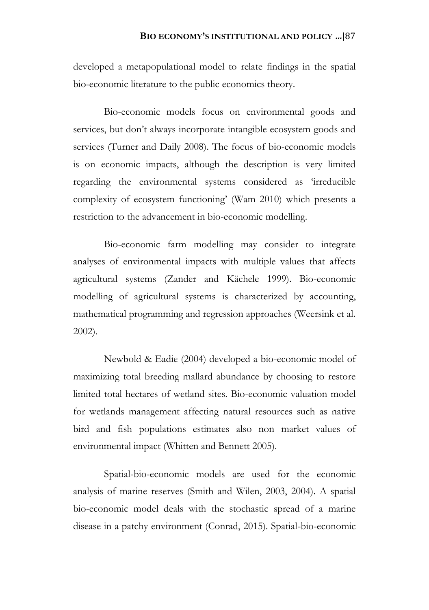developed a metapopulational model to relate findings in the spatial bio-economic literature to the public economics theory.

Bio-economic models focus on environmental goods and services, but don't always incorporate intangible ecosystem goods and services (Turner and Daily 2008). The focus of bio-economic models is on economic impacts, although the description is very limited regarding the environmental systems considered as 'irreducible complexity of ecosystem functioning' (Wam 2010) which presents a restriction to the advancement in bio-economic modelling.

Bio-economic farm modelling may consider to integrate analyses of environmental impacts with multiple values that affects agricultural systems (Zander and Kächele 1999). Bio-economic modelling of agricultural systems is characterized by accounting, mathematical programming and regression approaches (Weersink et al. 2002).

Newbold & Eadie (2004) developed a bio-economic model of maximizing total breeding mallard abundance by choosing to restore limited total hectares of wetland sites. Bio-economic valuation model for wetlands management affecting natural resources such as native bird and fish populations estimates also non market values of environmental impact (Whitten and Bennett 2005).

Spatial-bio-economic models are used for the economic analysis of marine reserves (Smith and Wilen, 2003, 2004). A spatial bio-economic model deals with the stochastic spread of a marine disease in a patchy environment (Conrad, 2015). Spatial-bio-economic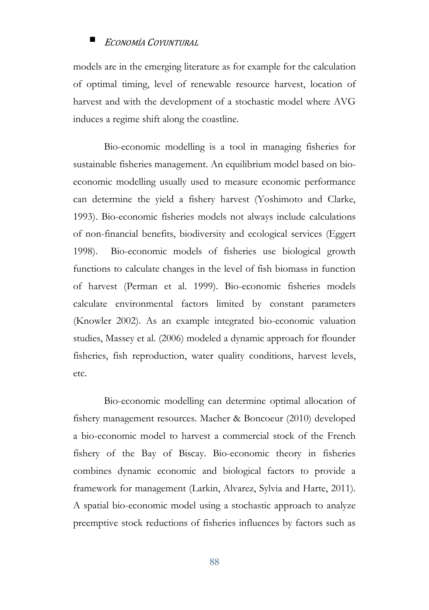models are in the emerging literature as for example for the calculation of optimal timing, level of renewable resource harvest, location of harvest and with the development of a stochastic model where AVG induces a regime shift along the coastline.

Bio-economic modelling is a tool in managing fisheries for sustainable fisheries management. An equilibrium model based on bioeconomic modelling usually used to measure economic performance can determine the yield a fishery harvest (Yoshimoto and Clarke, 1993). Bio-economic fisheries models not always include calculations of non-financial benefits, biodiversity and ecological services (Eggert 1998). Bio-economic models of fisheries use biological growth functions to calculate changes in the level of fish biomass in function of harvest (Perman et al. 1999). Bio-economic fisheries models calculate environmental factors limited by constant parameters (Knowler 2002). As an example integrated bio-economic valuation studies, Massey et al. (2006) modeled a dynamic approach for flounder fisheries, fish reproduction, water quality conditions, harvest levels, etc.

Bio-economic modelling can determine optimal allocation of fishery management resources. Macher & Boncoeur (2010) developed a bio-economic model to harvest a commercial stock of the French fishery of the Bay of Biscay. Bio-economic theory in fisheries combines dynamic economic and biological factors to provide a framework for management (Larkin, Alvarez, Sylvia and Harte, 2011). A spatial bio-economic model using a stochastic approach to analyze preemptive stock reductions of fisheries influences by factors such as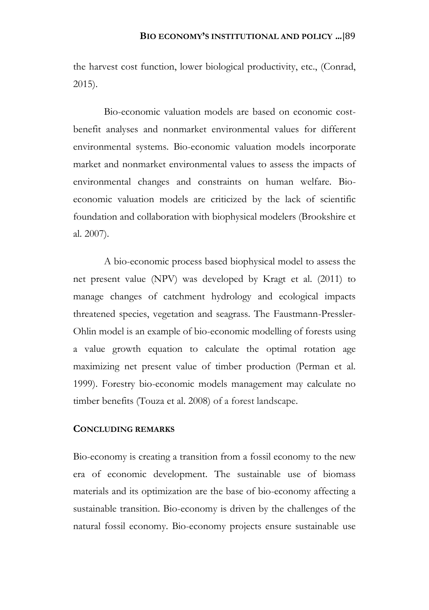the harvest cost function, lower biological productivity, etc., (Conrad, 2015).

Bio-economic valuation models are based on economic costbenefit analyses and nonmarket environmental values for different environmental systems. Bio-economic valuation models incorporate market and nonmarket environmental values to assess the impacts of environmental changes and constraints on human welfare. Bioeconomic valuation models are criticized by the lack of scientific foundation and collaboration with biophysical modelers (Brookshire et al. 2007).

A bio-economic process based biophysical model to assess the net present value (NPV) was developed by Kragt et al. (2011) to manage changes of catchment hydrology and ecological impacts threatened species, vegetation and seagrass. The Faustmann-Pressler-Ohlin model is an example of bio-economic modelling of forests using a value growth equation to calculate the optimal rotation age maximizing net present value of timber production (Perman et al. 1999). Forestry bio-economic models management may calculate no timber benefits (Touza et al. 2008) of a forest landscape.

### **CONCLUDING REMARKS**

Bio-economy is creating a transition from a fossil economy to the new era of economic development. The sustainable use of biomass materials and its optimization are the base of bio-economy affecting a sustainable transition. Bio-economy is driven by the challenges of the natural fossil economy. Bio-economy projects ensure sustainable use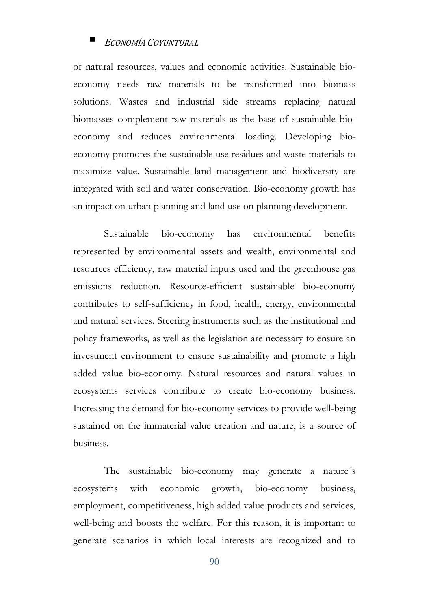of natural resources, values and economic activities. Sustainable bioeconomy needs raw materials to be transformed into biomass solutions. Wastes and industrial side streams replacing natural biomasses complement raw materials as the base of sustainable bioeconomy and reduces environmental loading. Developing bioeconomy promotes the sustainable use residues and waste materials to maximize value. Sustainable land management and biodiversity are integrated with soil and water conservation. Bio-economy growth has an impact on urban planning and land use on planning development.

Sustainable bio-economy has environmental benefits represented by environmental assets and wealth, environmental and resources efficiency, raw material inputs used and the greenhouse gas emissions reduction. Resource-efficient sustainable bio-economy contributes to self-sufficiency in food, health, energy, environmental and natural services. Steering instruments such as the institutional and policy frameworks, as well as the legislation are necessary to ensure an investment environment to ensure sustainability and promote a high added value bio-economy. Natural resources and natural values in ecosystems services contribute to create bio-economy business. Increasing the demand for bio-economy services to provide well-being sustained on the immaterial value creation and nature, is a source of business.

The sustainable bio-economy may generate a nature´s ecosystems with economic growth, bio-economy business, employment, competitiveness, high added value products and services, well-being and boosts the welfare. For this reason, it is important to generate scenarios in which local interests are recognized and to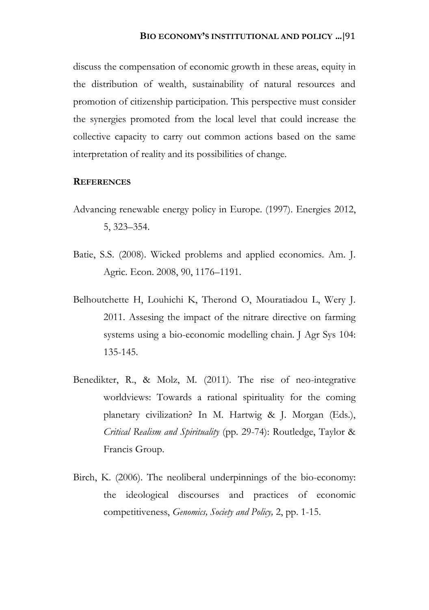discuss the compensation of economic growth in these areas, equity in the distribution of wealth, sustainability of natural resources and promotion of citizenship participation. This perspective must consider the synergies promoted from the local level that could increase the collective capacity to carry out common actions based on the same interpretation of reality and its possibilities of change.

### **REFERENCES**

- Advancing renewable energy policy in Europe. (1997). Energies 2012, 5, 323–354.
- Batie, S.S. (2008). Wicked problems and applied economics. Am. J. Agric. Econ. 2008, 90, 1176–1191.
- Belhoutchette H, Louhichi K, Therond O, Mouratiadou L, Wery J. 2011. Assesing the impact of the nitrare directive on farming systems using a bio-economic modelling chain. J Agr Sys 104: 135-145.
- Benedikter, R., & Molz, M. (2011). The rise of neo-integrative worldviews: Towards a rational spirituality for the coming planetary civilization? In M. Hartwig & J. Morgan (Eds.), *Critical Realism and Spirituality* (pp. 29-74): Routledge, Taylor & Francis Group.
- Birch, K. (2006). The neoliberal underpinnings of the bio-economy: the ideological discourses and practices of economic competitiveness, *Genomics, Society and Policy,* 2, pp. 1-15.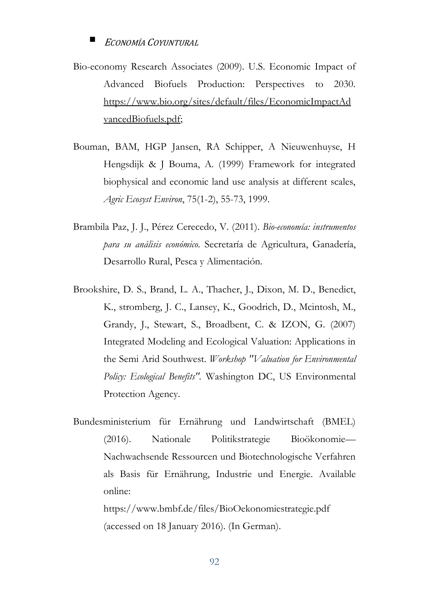Bio-economy Research Associates (2009). U.S. Economic Impact of Advanced Biofuels Production: Perspectives to 2030. [https://www.bio.org/sites/default/files/EconomicImpactAd](https://www.bio.org/sites/default/files/EconomicImpactAdvancedBiofuels.pdf) [vancedBiofuels.pdf;](https://www.bio.org/sites/default/files/EconomicImpactAdvancedBiofuels.pdf)

- Bouman, BAM, HGP Jansen, RA Schipper, A Nieuwenhuyse, H Hengsdijk & J Bouma, A. (1999) Framework for integrated biophysical and economic land use analysis at different scales, *Agric Ecosyst Environ*, 75(1-2), 55-73, 1999.
- Brambila Paz, J. J., Pérez Cerecedo, V. (2011). *Bio-economía: instrumentos para su análisis económico.* Secretaría de Agricultura, Ganadería, Desarrollo Rural, Pesca y Alimentación.
- Brookshire, D. S., Brand, L. A., Thacher, J., Dixon, M. D., Benedict, K., stromberg, J. C., Lansey, K., Goodrich, D., Mcintosh, M., Grandy, J., Stewart, S., Broadbent, C. & IZON, G. (2007) Integrated Modeling and Ecological Valuation: Applications in the Semi Arid Southwest. *Workshop "Valuation for Environmental Policy: Ecological Benefits".* Washington DC, US Environmental Protection Agency.
- Bundesministerium für Ernährung und Landwirtschaft (BMEL) (2016). Nationale Politikstrategie Bioökonomie— Nachwachsende Ressourcen und Biotechnologische Verfahren als Basis für Ernährung, Industrie und Energie. Available online: https://www.bmbf.de/files/BioOekonomiestrategie.pdf

(accessed on 18 January 2016). (In German).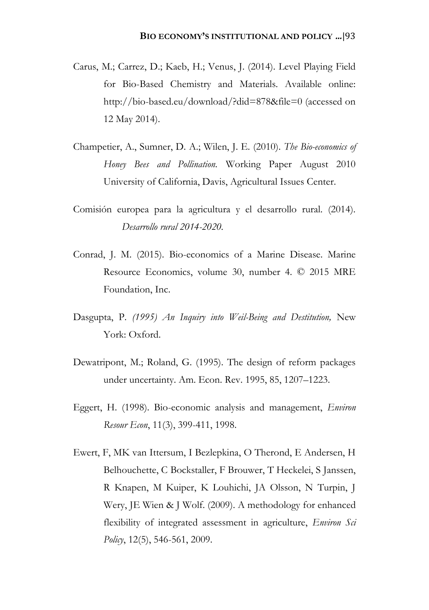- Carus, M.; Carrez, D.; Kaeb, H.; Venus, J. (2014). Level Playing Field for Bio-Based Chemistry and Materials. Available online: http://bio-based.eu/download/?did=878&file=0 (accessed on 12 May 2014).
- Champetier, A., Sumner, D. A.; Wilen, J. E. (2010). *The Bio-economics of Honey Bees and Pollination.* Working Paper August 2010 University of California, Davis, Agricultural Issues Center.
- Comisión europea para la agricultura y el desarrollo rural. (2014). *Desarrollo rural 2014-2020.*
- Conrad, J. M. (2015). Bio-economics of a Marine Disease. Marine Resource Economics, volume 30, number 4. © 2015 MRE Foundation, Inc.
- Dasgupta, P. *(1995) An Inquiry into Weil-Being and Destitution,* New York: Oxford.
- Dewatripont, M.; Roland, G. (1995). The design of reform packages under uncertainty. Am. Econ. Rev. 1995, 85, 1207–1223.
- Eggert, H. (1998). Bio-economic analysis and management, *Environ Resour Econ*, 11(3), 399-411, 1998.
- Ewert, F, MK van Ittersum, I Bezlepkina, O Therond, E Andersen, H Belhouchette, C Bockstaller, F Brouwer, T Heckelei, S Janssen, R Knapen, M Kuiper, K Louhichi, JA Olsson, N Turpin, J Wery, JE Wien & J Wolf. (2009). A methodology for enhanced flexibility of integrated assessment in agriculture, *Environ Sci Policy*, 12(5), 546-561, 2009.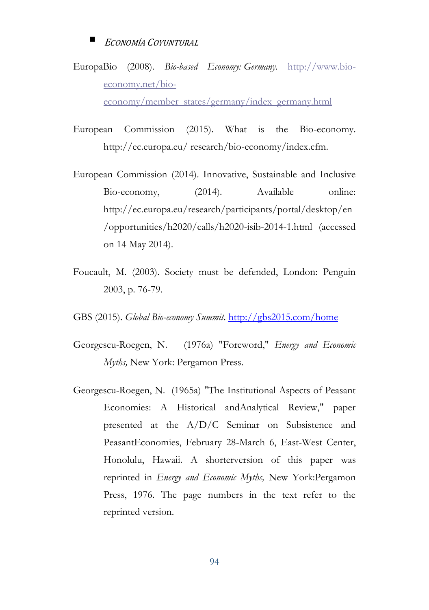EuropaBio (2008). *Bio-based Economy: Germany.* [http://www.bio](http://www.bio-economy.net/bio-economy/member_states/germany/index_germany.html)[economy.net/bio](http://www.bio-economy.net/bio-economy/member_states/germany/index_germany.html)[economy/member\\_states/germany/index\\_germany.html](http://www.bio-economy.net/bio-economy/member_states/germany/index_germany.html)

European Commission (2015). What is the Bio-economy. http://ec.europa.eu/ research/bio-economy/index.cfm.

- European Commission (2014). Innovative, Sustainable and Inclusive Bio-economy, (2014). Available online: http://ec.europa.eu/research/participants/portal/desktop/en /opportunities/h2020/calls/h2020-isib-2014-1.html (accessed on 14 May 2014).
- Foucault, M. (2003). Society must be defended, London: Penguin 2003, p. 76-79.

GBS (2015). *Global Bio-economy Summit*. [http://gbs2015.com/home](http://gbs2015.com/home/)

- Georgescu-Roegen, N. (1976a) "Foreword," *Energy and Economic Myths,* New York: Pergamon Press.
- Georgescu-Roegen, N. (1965a) "The Institutional Aspects of Peasant Economies: A Historical andAnalytical Review," paper presented at the A/D/C Seminar on Subsistence and PeasantEconomies, February 28-March 6, East-West Center, Honolulu, Hawaii. A shorterversion of this paper was reprinted in *Energy and Economic Myths,* New York:Pergamon Press, 1976. The page numbers in the text refer to the reprinted version.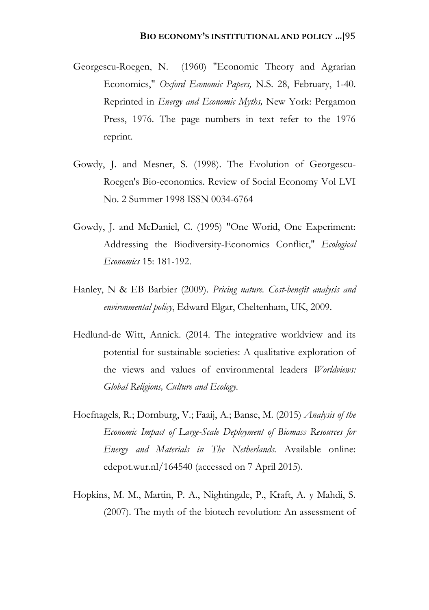- Georgescu-Roegen, N. (1960) "Economic Theory and Agrarian Economics," *Oxford Economic Papers,* N.S. 28, February, 1-40. Reprinted in *Energy and Economic Myths,* New York: Pergamon Press, 1976. The page numbers in text refer to the 1976 reprint.
- Gowdy, J. and Mesner, S. (1998). The Evolution of Georgescu-Roegen's Bio-economics. Review of Social Economy Vol LVI No. 2 Summer 1998 ISSN 0034-6764
- Gowdy, J. and McDaniel, C. (1995) "One Worid, One Experiment: Addressing the Biodiversity-Economics Conflict," *Ecological Economics* 15: 181-192.
- Hanley, N & EB Barbier (2009). *Pricing nature. Cost-benefit analysis and environmental policy*, Edward Elgar, Cheltenham, UK, 2009.
- Hedlund-de Witt, Annick. (2014. The integrative worldview and its potential for sustainable societies: A qualitative exploration of the views and values of environmental leaders *Worldviews: Global Religions, Culture and Ecology*.
- Hoefnagels, R.; Dornburg, V.; Faaij, A.; Banse, M. (2015) *Analysis of the Economic Impact of Large-Scale Deployment of Biomass Resources for Energy and Materials in The Netherlands.* Available online: edepot.wur.nl/164540 (accessed on 7 April 2015).
- Hopkins, M. M., Martin, P. A., Nightingale, P., Kraft, A. y Mahdi, S. (2007). The myth of the biotech revolution: An assessment of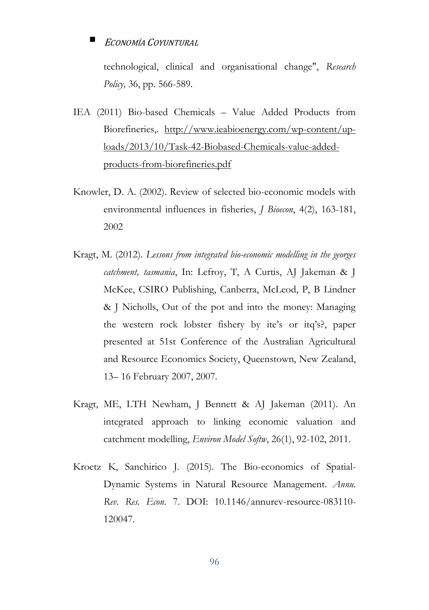technological, clinical and organisational change", *Research Policy,* 36, pp. 566-589.

- IEA (2011) Bio-based Chemicals Value Added Products from Biorefineries,. http://www.ieabioenergy.com/wp-content/uploads/2013/10/Task-42-Biobased-Chemicals-value-addedproducts-from-biorefineries.pdf
- Knowler, D. A. (2002). Review of selected bio-economic models with environmental influences in fisheries, *J Bioecon*, 4(2), 163-181, 2002
- Kragt, M. (2012). *Lessons from integrated bio-economic modelling in the georges catchment, tasmania*, In: Lefroy, T, A Curtis, AJ Jakeman & J McKee, CSIRO Publishing, Canberra, McLeod, P, B Lindner & J Nicholls, Out of the pot and into the money: Managing the western rock lobster fishery by ite's or itq's?, paper presented at 51st Conference of the Australian Agricultural and Resource Economics Society, Queenstown, New Zealand, 13– 16 February 2007, 2007.
- Kragt, ME, LTH Newham, J Bennett & AJ Jakeman (2011). An integrated approach to linking economic valuation and catchment modelling, *Environ Model Softw*, 26(1), 92-102, 2011.
- Kroetz K, Sanchirico J. (2015). The Bio-economics of Spatial-Dynamic Systems in Natural Resource Management. *Annu. Rev. Res. Econ*. 7. DOI: 10.1146/annurev-resource-083110- 120047.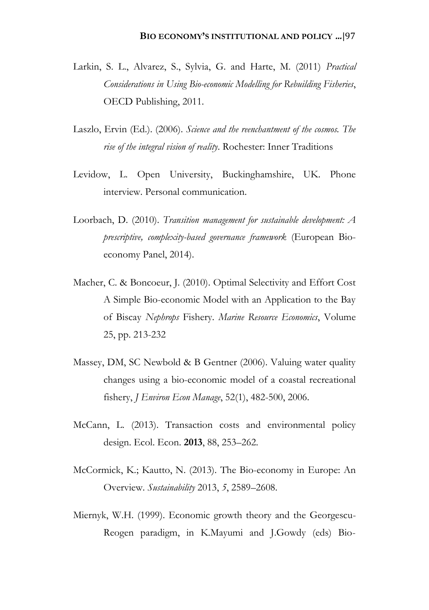- Larkin, S. L., Alvarez, S., Sylvia, G. and Harte, M. (2011) *Practical Considerations in Using Bio-economic Modelling for Rebuilding Fisheries*, OECD Publishing, 2011.
- Laszlo, Ervin (Ed.). (2006). *Science and the reenchantment of the cosmos. The rise of the integral vision of reality*. Rochester: Inner Traditions
- Levidow, L. Open University, Buckinghamshire, UK. Phone interview. Personal communication.
- Loorbach, D. (2010). *Transition management for sustainable development: A prescriptive, complexity-based governance framework* (European Bioeconomy Panel, 2014).
- Macher, C. & Boncoeur, J. (2010). Optimal Selectivity and Effort Cost A Simple Bio-economic Model with an Application to the Bay of Biscay *Nephrops* Fishery. *Marine Resource Economics*, Volume 25, pp. 213-232
- Massey, DM, SC Newbold & B Gentner (2006). Valuing water quality changes using a bio-economic model of a coastal recreational fishery, *J Environ Econ Manage*, 52(1), 482-500, 2006.
- McCann, L. (2013). Transaction costs and environmental policy design. Ecol. Econ. **2013**, 88, 253–262.
- McCormick, K.; Kautto, N. (2013). The Bio-economy in Europe: An Overview. *Sustainability* 2013, *5*, 2589–2608.
- Miernyk, W.H. (1999). Economic growth theory and the Georgescu-Reogen paradigm, in K.Mayumi and J.Gowdy (eds) Bio-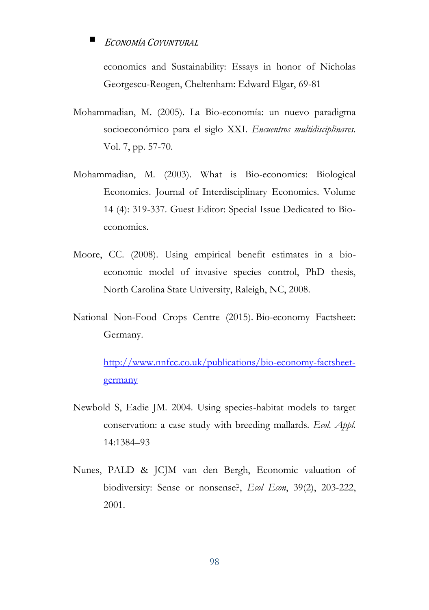economics and Sustainability: Essays in honor of Nicholas Georgescu-Reogen, Cheltenham: Edward Elgar, 69-81

- Mohammadian, M. (2005). La Bio-economía: un nuevo paradigma socioeconómico para el siglo XXI. *Encuentros multidisciplinares*. Vol. 7, pp. 57-70.
- Mohammadian, M. (2003). What is Bio-economics: Biological Economics. Journal of Interdisciplinary Economics. Volume 14 (4): 319-337. Guest Editor: Special Issue Dedicated to Bioeconomics.
- Moore, CC. (2008). Using empirical benefit estimates in a bioeconomic model of invasive species control, PhD thesis, North Carolina State University, Raleigh, NC, 2008.
- National Non-Food Crops Centre (2015). Bio-economy Factsheet: Germany.

[http://www.nnfcc.co.uk/publications/bio-economy-factsheet](http://www.nnfcc.co.uk/publications/bioeconomy-factsheet-germany)[germany](http://www.nnfcc.co.uk/publications/bioeconomy-factsheet-germany)

- Newbold S, Eadie JM. 2004. Using species-habitat models to target conservation: a case study with breeding mallards. *Ecol. Appl.*  14:1384–93
- Nunes, PALD & JCJM van den Bergh, Economic valuation of biodiversity: Sense or nonsense?, *Ecol Econ*, 39(2), 203-222, 2001.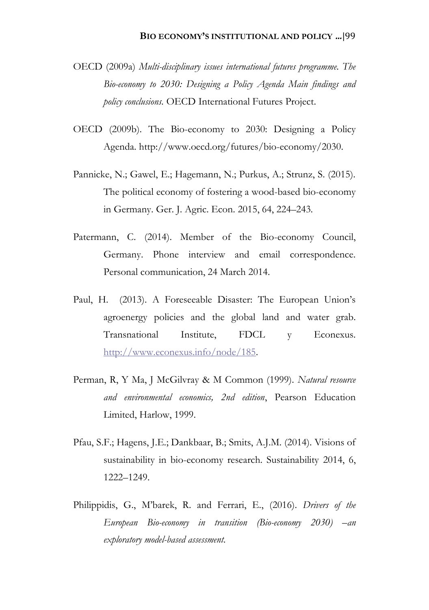- OECD (2009a) *Multi-disciplinary issues international futures programme. The Bio-economy to 2030: Designing a Policy Agenda Main findings and policy conclusions.* OECD International Futures Project.
- OECD (2009b). The Bio-economy to 2030: Designing a Policy Agenda. http://www.oecd.org/futures/bio-economy/2030.
- Pannicke, N.; Gawel, E.; Hagemann, N.; Purkus, A.; Strunz, S. (2015). The political economy of fostering a wood-based bio-economy in Germany. Ger. J. Agric. Econ. 2015, 64, 224–243.
- Patermann, C. (2014). Member of the Bio-economy Council, Germany. Phone interview and email correspondence. Personal communication, 24 March 2014.
- Paul, H. (2013). A Foreseeable Disaster: The European Union's agroenergy policies and the global land and water grab. Transnational Institute, FDCL y Econexus. [http://www.econexus.info/node/185.](http://www.econexus.info/node/185)
- Perman, R, Y Ma, J McGilvray & M Common (1999). *Natural resource and environmental economics, 2nd edition*, Pearson Education Limited, Harlow, 1999.
- Pfau, S.F.; Hagens, J.E.; Dankbaar, B.; Smits, A.J.M. (2014). Visions of sustainability in bio-economy research. Sustainability 2014, 6, 1222–1249.
- Philippidis, G., M'barek, R. and Ferrari, E., (2016). *Drivers of the European Bio-economy in transition (Bio-economy 2030) –an exploratory model-based assessment.*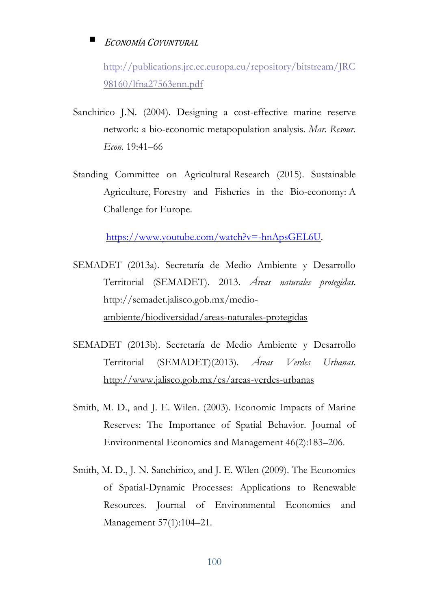[http://publications.jrc.ec.europa.eu/repository/bitstream/JRC](http://publications.jrc.ec.europa.eu/repository/bitstream/JRC98160/lfna27563enn.pdf) [98160/lfna27563enn.pdf](http://publications.jrc.ec.europa.eu/repository/bitstream/JRC98160/lfna27563enn.pdf)

- Sanchirico J.N. (2004). Designing a cost-effective marine reserve network: a bio-economic metapopulation analysis. *Mar. Resour. Econ.* 19:41–66
- Standing Committee on Agricultural Research (2015). Sustainable Agriculture, Forestry and Fisheries in the Bio-economy: A Challenge for Europe.

[https://www.youtube.com/watch?v=-hnApsGEL6U.](https://www.youtube.com/watch?v=-hnApsGEL6U)

- SEMADET (2013a). Secretaría de Medio Ambiente y Desarrollo Territorial (SEMADET). 2013. *Áreas naturales protegidas*. [http://semadet.jalisco.gob.mx/medio](http://semadet.jalisco.gob.mx/medio-ambiente/biodiversidad/areas-naturales-protegidas)[ambiente/biodiversidad/areas-naturales-protegidas](http://semadet.jalisco.gob.mx/medio-ambiente/biodiversidad/areas-naturales-protegidas)
- SEMADET (2013b). Secretaría de Medio Ambiente y Desarrollo Territorial (SEMADET)(2013). *Áreas Verdes Urbanas*. <http://www.jalisco.gob.mx/es/areas-verdes-urbanas>
- Smith, M. D., and J. E. Wilen. (2003). Economic Impacts of Marine Reserves: The Importance of Spatial Behavior. Journal of Environmental Economics and Management 46(2):183–206.
- Smith, M. D., J. N. Sanchirico, and J. E. Wilen (2009). The Economics of Spatial-Dynamic Processes: Applications to Renewable Resources. Journal of Environmental Economics and Management 57(1):104–21.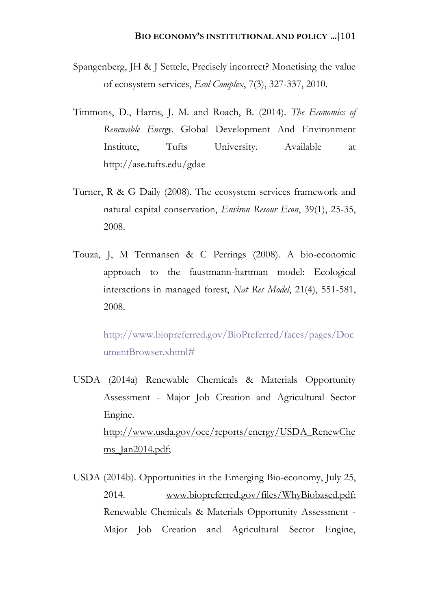- Spangenberg, JH & J Settele, Precisely incorrect? Monetising the value of ecosystem services, *Ecol Complex*, 7(3), 327-337, 2010.
- Timmons, D., Harris, J. M. and Roach, B. (2014). *The Economics of Renewable Energy*. Global Development And Environment Institute, Tufts University. Available at http://ase.tufts.edu/gdae
- Turner, R & G Daily (2008). The ecosystem services framework and natural capital conservation, *Environ Resour Econ*, 39(1), 25-35, 2008.
- Touza, J, M Termansen & C Perrings (2008). A bio-economic approach to the faustmann-hartman model: Ecological interactions in managed forest, *Nat Res Model*, 21(4), 551-581, 2008.

[http://www.biopreferred.gov/BioPreferred/faces/pages/Doc](http://www.biopreferred.gov/BioPreferred/faces/pages/DocumentBrowser.xhtml) [umentBrowser.xhtml#](http://www.biopreferred.gov/BioPreferred/faces/pages/DocumentBrowser.xhtml)

- USDA (2014a) Renewable Chemicals & Materials Opportunity Assessment - Major Job Creation and Agricultural Sector Engine. [http://www.usda.gov/oce/reports/energy/USDA\\_RenewChe](http://www.usda.gov/oce/reports/energy/USDA_RenewChems_Jan2014.pdf) ms Jan2014.pdf;
- USDA (2014b). Opportunities in the Emerging Bio-economy, July 25, 2014. www.biopreferred.gov/files/WhyBiobased.pdf; Renewable Chemicals & Materials Opportunity Assessment - Major Job Creation and Agricultural Sector Engine,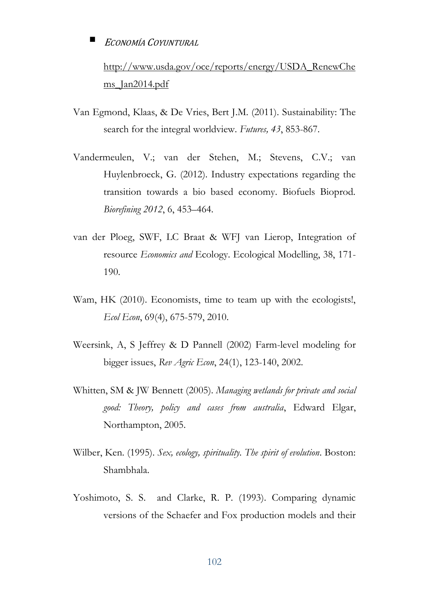[http://www.usda.gov/oce/reports/energy/USDA\\_RenewChe](http://www.usda.gov/oce/reports/energy/USDA_RenewChems_Jan2014.pdf) [ms\\_Jan2014.pdf](http://www.usda.gov/oce/reports/energy/USDA_RenewChems_Jan2014.pdf)

- Van Egmond, Klaas, & De Vries, Bert J.M. (2011). Sustainability: The search for the integral worldview. *Futures, 43*, 853-867.
- Vandermeulen, V.; van der Stehen, M.; Stevens, C.V.; van Huylenbroeck, G. (2012). Industry expectations regarding the transition towards a bio based economy. Biofuels Bioprod. *Biorefining 2012*, 6, 453–464.
- van der Ploeg, SWF, LC Braat & WFJ van Lierop, Integration of resource *Economics and* Ecology. Ecological Modelling, 38, 171- 190.
- Wam, HK (2010). Economists, time to team up with the ecologists!, *Ecol Econ*, 69(4), 675-579, 2010.
- Weersink, A, S Jeffrey & D Pannell (2002) Farm-level modeling for bigger issues, *Rev Agric Econ*, 24(1), 123-140, 2002.
- Whitten, SM & JW Bennett (2005). *Managing wetlands for private and social good: Theory, policy and cases from australia*, Edward Elgar, Northampton, 2005.
- Wilber, Ken. (1995). *Sex, ecology, spirituality. The spirit of evolution*. Boston: Shambhala.
- Yoshimoto, S. S. and Clarke, R. P. (1993). Comparing dynamic versions of the Schaefer and Fox production models and their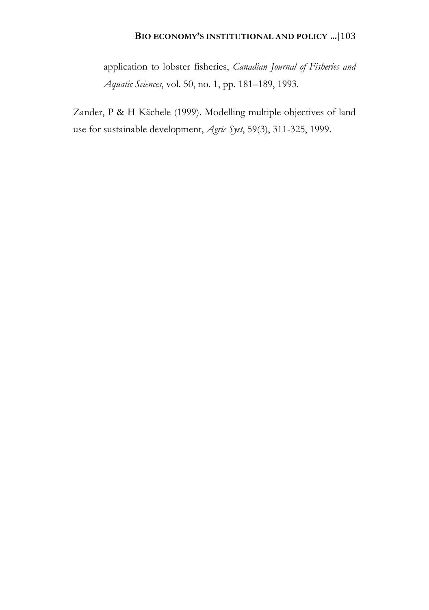application to lobster fisheries, *Canadian Journal of Fisheries and Aquatic Sciences*, vol. 50, no. 1, pp. 181–189, 1993.

Zander, P & H Kächele (1999). Modelling multiple objectives of land use for sustainable development, *Agric Syst*, 59(3), 311-325, 1999.